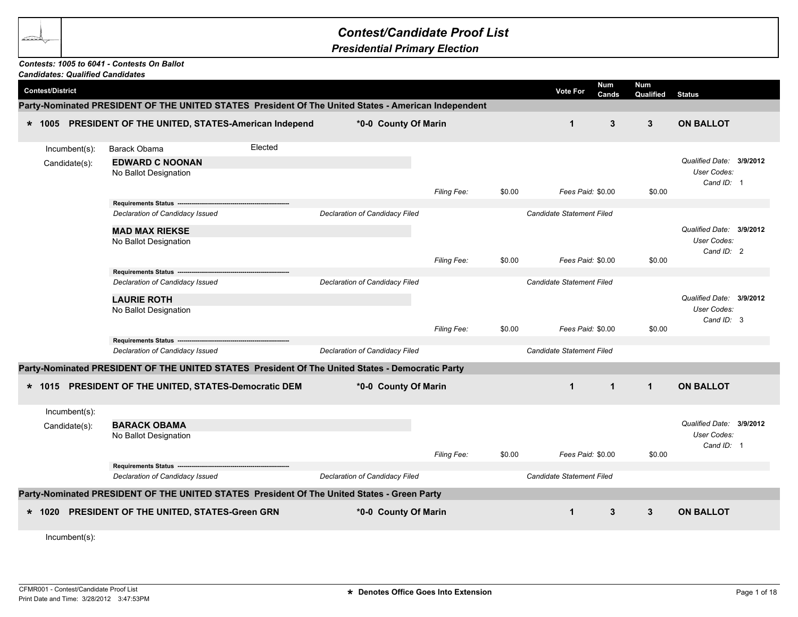## *Contest/Candidate Proof List*

*Presidential Primary Election*

## *Contests: 1005 to 6041 - Contests On Ballot*

|                         |                  | <b>Candidates: Qualified Candidates</b>                                                              |         |                                |                    |        |                                  |                     |                         |                                                       |  |
|-------------------------|------------------|------------------------------------------------------------------------------------------------------|---------|--------------------------------|--------------------|--------|----------------------------------|---------------------|-------------------------|-------------------------------------------------------|--|
| <b>Contest/District</b> |                  |                                                                                                      |         |                                |                    |        | <b>Vote For</b>                  | <b>Num</b><br>Cands | <b>Num</b><br>Qualified | <b>Status</b>                                         |  |
|                         |                  | Party-Nominated PRESIDENT OF THE UNITED STATES President Of The United States - American Independent |         |                                |                    |        |                                  |                     |                         |                                                       |  |
|                         |                  | * 1005 PRESIDENT OF THE UNITED, STATES-American Independ                                             |         | *0-0 County Of Marin           |                    |        | $\mathbf{1}$                     | 3                   | 3                       | <b>ON BALLOT</b>                                      |  |
|                         | Incumbent(s):    | Barack Obama                                                                                         | Elected |                                |                    |        |                                  |                     |                         |                                                       |  |
|                         | Candidate(s):    | <b>EDWARD C NOONAN</b><br>No Ballot Designation                                                      |         |                                | Filing Fee:        | \$0.00 | Fees Paid: \$0.00                |                     | \$0.00                  | Qualified Date: 3/9/2012<br>User Codes:<br>Cand ID: 1 |  |
|                         |                  | Requirements Status ---                                                                              |         |                                |                    |        |                                  |                     |                         |                                                       |  |
|                         |                  | Declaration of Candidacy Issued                                                                      |         | Declaration of Candidacy Filed |                    |        | Candidate Statement Filed        |                     |                         |                                                       |  |
|                         |                  | <b>MAD MAX RIEKSE</b><br>No Ballot Designation                                                       |         |                                |                    |        |                                  |                     |                         | Qualified Date: 3/9/2012<br>User Codes:<br>Cand ID: 2 |  |
|                         |                  |                                                                                                      |         |                                | Filing Fee:        | \$0.00 | Fees Paid: \$0.00                |                     | \$0.00                  |                                                       |  |
|                         |                  | Requirements Status ----                                                                             |         |                                |                    |        |                                  |                     |                         |                                                       |  |
|                         |                  | Declaration of Candidacy Issued                                                                      |         | Declaration of Candidacy Filed |                    |        | <b>Candidate Statement Filed</b> |                     |                         |                                                       |  |
|                         |                  | <b>LAURIE ROTH</b>                                                                                   |         |                                |                    |        |                                  |                     |                         | Qualified Date: 3/9/2012                              |  |
|                         |                  | No Ballot Designation                                                                                |         |                                |                    |        |                                  |                     |                         | User Codes:                                           |  |
|                         |                  |                                                                                                      |         |                                | <b>Filing Fee:</b> | \$0.00 | Fees Paid: \$0.00                |                     | \$0.00                  | Cand ID: 3                                            |  |
|                         |                  | Requirements Status ----                                                                             |         |                                |                    |        |                                  |                     |                         |                                                       |  |
|                         |                  | Declaration of Candidacy Issued                                                                      |         | Declaration of Candidacy Filed |                    |        | Candidate Statement Filed        |                     |                         |                                                       |  |
|                         |                  | Party-Nominated PRESIDENT OF THE UNITED STATES President Of The United States - Democratic Party     |         |                                |                    |        |                                  |                     |                         |                                                       |  |
|                         |                  | * 1015 PRESIDENT OF THE UNITED, STATES-Democratic DEM                                                |         | *0-0 County Of Marin           |                    |        | $\mathbf{1}$                     | $\mathbf{1}$        | $\mathbf{1}$            | <b>ON BALLOT</b>                                      |  |
|                         | Incumbent(s):    |                                                                                                      |         |                                |                    |        |                                  |                     |                         |                                                       |  |
|                         | Candidate(s):    | <b>BARACK OBAMA</b><br>No Ballot Designation                                                         |         |                                |                    |        |                                  |                     |                         | Qualified Date: 3/9/2012<br>User Codes:<br>Cand ID: 1 |  |
|                         |                  |                                                                                                      |         |                                | Filing Fee:        | \$0.00 | Fees Paid: \$0.00                |                     | \$0.00                  |                                                       |  |
|                         |                  | Requirements Status --------<br>Declaration of Candidacy Issued                                      |         | Declaration of Candidacy Filed |                    |        | Candidate Statement Filed        |                     |                         |                                                       |  |
|                         |                  | Party-Nominated PRESIDENT OF THE UNITED STATES President Of The United States - Green Party          |         |                                |                    |        |                                  |                     |                         |                                                       |  |
|                         |                  |                                                                                                      |         |                                |                    |        |                                  |                     | 3                       |                                                       |  |
| $* 1020$                |                  | PRESIDENT OF THE UNITED, STATES-Green GRN                                                            |         | *0-0 County Of Marin           |                    |        | $\mathbf 1$                      | 3                   |                         | <b>ON BALLOT</b>                                      |  |
|                         | $Incumbent(s)$ : |                                                                                                      |         |                                |                    |        |                                  |                     |                         |                                                       |  |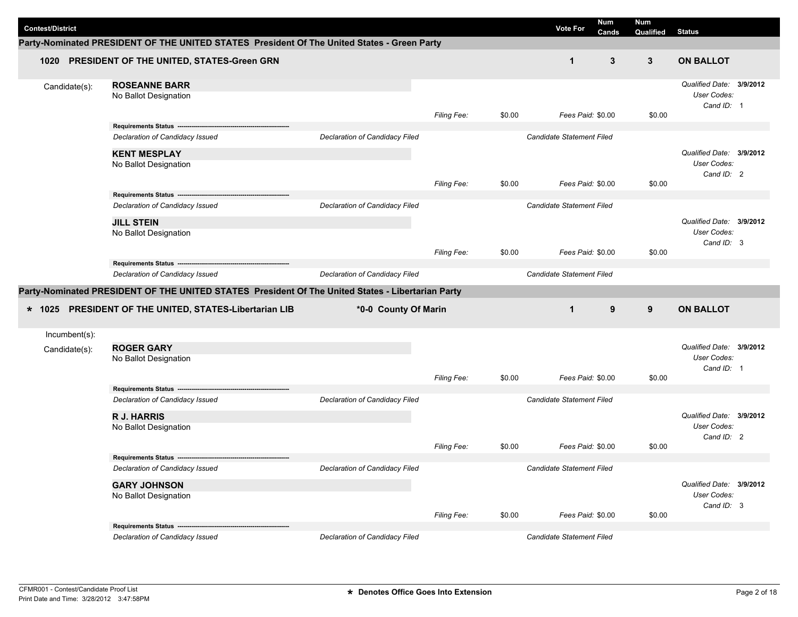| <b>Contest/District</b> |                                                                                                   |                                |                    |        | <b>Vote For</b>                  | Num<br>Cands | <b>Num</b><br>Qualified | <b>Status</b>                                                |  |
|-------------------------|---------------------------------------------------------------------------------------------------|--------------------------------|--------------------|--------|----------------------------------|--------------|-------------------------|--------------------------------------------------------------|--|
|                         | Party-Nominated PRESIDENT OF THE UNITED STATES President Of The United States - Green Party       |                                |                    |        |                                  |              |                         |                                                              |  |
| 1020                    | PRESIDENT OF THE UNITED, STATES-Green GRN                                                         |                                |                    |        | $\mathbf{1}$                     | 3            | $\mathbf{3}$            | <b>ON BALLOT</b>                                             |  |
| Candidate(s):           | <b>ROSEANNE BARR</b><br>No Ballot Designation                                                     |                                | Filing Fee:        | \$0.00 | Fees Paid: \$0.00                |              | \$0.00                  | Qualified Date: 3/9/2012<br>User Codes:<br>Cand ID: 1        |  |
|                         | Requirements Status ---                                                                           |                                |                    |        |                                  |              |                         |                                                              |  |
|                         | Declaration of Candidacy Issued                                                                   | Declaration of Candidacy Filed |                    |        | Candidate Statement Filed        |              |                         |                                                              |  |
|                         | <b>KENT MESPLAY</b><br>No Ballot Designation                                                      |                                |                    |        |                                  |              |                         | Qualified Date: 3/9/2012<br>User Codes:<br>Cand ID: 2        |  |
|                         |                                                                                                   |                                | Filing Fee:        | \$0.00 | Fees Paid: \$0.00                |              | \$0.00                  |                                                              |  |
|                         | Declaration of Candidacy Issued                                                                   | Declaration of Candidacy Filed |                    |        | <b>Candidate Statement Filed</b> |              |                         |                                                              |  |
|                         | <b>JILL STEIN</b>                                                                                 |                                |                    |        |                                  |              |                         | Qualified Date: 3/9/2012                                     |  |
|                         | No Ballot Designation                                                                             |                                |                    |        | Fees Paid: \$0.00                |              |                         | User Codes:<br>Cand ID: 3                                    |  |
|                         | Requirements Status ---                                                                           |                                | Filing Fee:        | \$0.00 |                                  |              | \$0.00                  |                                                              |  |
|                         | Declaration of Candidacy Issued                                                                   | Declaration of Candidacy Filed |                    |        | Candidate Statement Filed        |              |                         |                                                              |  |
|                         | Party-Nominated PRESIDENT OF THE UNITED STATES President Of The United States - Libertarian Party |                                |                    |        |                                  |              |                         |                                                              |  |
| $*$ 1025                | PRESIDENT OF THE UNITED, STATES-Libertarian LIB                                                   | *0-0 County Of Marin           |                    |        | $\mathbf{1}$                     | 9            | 9                       | <b>ON BALLOT</b>                                             |  |
| Incumbent(s):           |                                                                                                   |                                |                    |        |                                  |              |                         |                                                              |  |
| Candidate(s):           | <b>ROGER GARY</b><br>No Ballot Designation                                                        |                                |                    |        |                                  |              |                         | Qualified Date: 3/9/2012<br><b>User Codes:</b><br>Cand ID: 1 |  |
|                         |                                                                                                   |                                | Filing Fee:        | \$0.00 | Fees Paid: \$0.00                |              | \$0.00                  |                                                              |  |
|                         | Requirements Status ----                                                                          |                                |                    |        |                                  |              |                         |                                                              |  |
|                         | Declaration of Candidacy Issued<br><b>R J. HARRIS</b><br>No Ballot Designation                    | Declaration of Candidacy Filed |                    |        | Candidate Statement Filed        |              |                         | Qualified Date: 3/9/2012<br>User Codes:<br>Cand ID: 2        |  |
|                         |                                                                                                   |                                | <b>Filing Fee:</b> | \$0.00 | Fees Paid: \$0.00                |              | \$0.00                  |                                                              |  |
|                         | Requirements Status ----<br>Declaration of Candidacy Issued                                       | Declaration of Candidacy Filed |                    |        | <b>Candidate Statement Filed</b> |              |                         |                                                              |  |
|                         | <b>GARY JOHNSON</b><br>No Ballot Designation                                                      |                                |                    |        |                                  |              |                         | Qualified Date: 3/9/2012<br>User Codes:<br>Cand ID: 3        |  |
|                         |                                                                                                   |                                | Filing Fee:        | \$0.00 | Fees Paid: \$0.00                |              | \$0.00                  |                                                              |  |
|                         | <b>Requirements Status -</b>                                                                      |                                |                    |        | Candidate Statement Filed        |              |                         |                                                              |  |
|                         | Declaration of Candidacy Issued                                                                   | Declaration of Candidacy Filed |                    |        |                                  |              |                         |                                                              |  |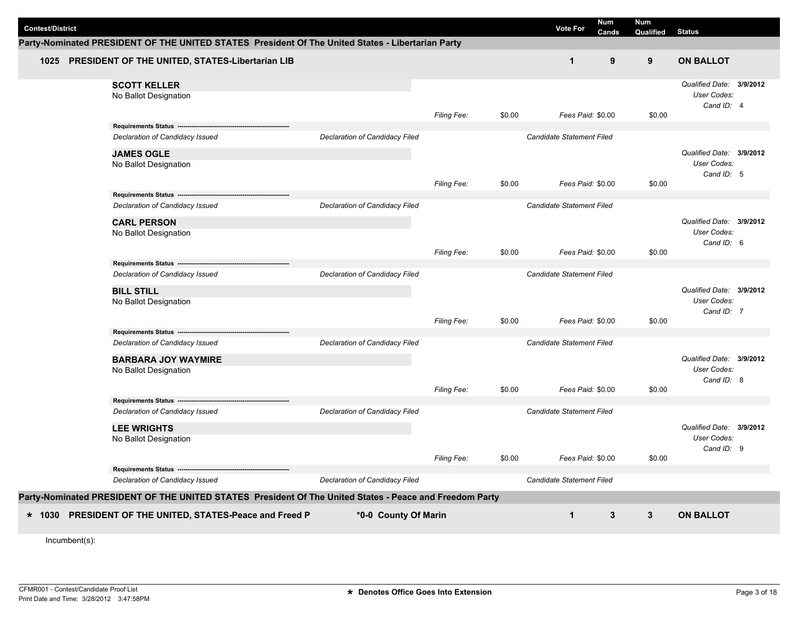| <b>Contest/District</b> | Party-Nominated PRESIDENT OF THE UNITED STATES President Of The United States - Libertarian Party       |                                       |                    |        | <b>Vote For</b>                  | Num<br>Cands | <b>Num</b><br>Qualified | <b>Status</b>                                         |  |
|-------------------------|---------------------------------------------------------------------------------------------------------|---------------------------------------|--------------------|--------|----------------------------------|--------------|-------------------------|-------------------------------------------------------|--|
|                         | 1025 PRESIDENT OF THE UNITED, STATES-Libertarian LIB                                                    |                                       |                    |        | $\mathbf 1$                      | 9            | 9                       | <b>ON BALLOT</b>                                      |  |
|                         | <b>SCOTT KELLER</b><br>No Ballot Designation                                                            |                                       |                    |        |                                  |              |                         | Qualified Date: 3/9/2012<br>User Codes:<br>Cand ID: 4 |  |
|                         |                                                                                                         |                                       | <b>Filing Fee:</b> | \$0.00 | Fees Paid: \$0.00                |              | \$0.00                  |                                                       |  |
|                         | Requirements Status ----                                                                                |                                       |                    |        |                                  |              |                         |                                                       |  |
|                         | Declaration of Candidacy Issued                                                                         | Declaration of Candidacy Filed        |                    |        | <b>Candidate Statement Filed</b> |              |                         |                                                       |  |
|                         | <b>JAMES OGLE</b><br>No Ballot Designation                                                              |                                       |                    |        |                                  |              |                         | Qualified Date: 3/9/2012<br>User Codes:               |  |
|                         |                                                                                                         |                                       |                    |        |                                  |              |                         | Cand ID: 5                                            |  |
|                         |                                                                                                         |                                       | <b>Filing Fee:</b> | \$0.00 | Fees Paid: \$0.00                |              | \$0.00                  |                                                       |  |
|                         | Requirements Status --                                                                                  |                                       |                    |        |                                  |              |                         |                                                       |  |
|                         | Declaration of Candidacy Issued                                                                         | Declaration of Candidacy Filed        |                    |        | Candidate Statement Filed        |              |                         |                                                       |  |
|                         | <b>CARL PERSON</b>                                                                                      |                                       |                    |        |                                  |              |                         | Qualified Date: 3/9/2012                              |  |
|                         | No Ballot Designation                                                                                   |                                       |                    |        |                                  |              |                         | User Codes:                                           |  |
|                         |                                                                                                         |                                       | Filing Fee:        | \$0.00 | Fees Paid: \$0.00                |              | \$0.00                  | Cand ID: 6                                            |  |
|                         | Requirements Status ---------------------                                                               |                                       |                    |        |                                  |              |                         |                                                       |  |
|                         | Declaration of Candidacy Issued                                                                         | Declaration of Candidacy Filed        |                    |        | <b>Candidate Statement Filed</b> |              |                         |                                                       |  |
|                         | <b>BILL STILL</b>                                                                                       |                                       |                    |        |                                  |              |                         | Qualified Date: 3/9/2012                              |  |
|                         | No Ballot Designation                                                                                   |                                       |                    |        |                                  |              |                         | User Codes:                                           |  |
|                         |                                                                                                         |                                       | Filing Fee:        | \$0.00 | Fees Paid: \$0.00                |              | \$0.00                  | Cand ID: 7                                            |  |
|                         | Requirements Status -------                                                                             |                                       |                    |        |                                  |              |                         |                                                       |  |
|                         | Declaration of Candidacy Issued                                                                         | Declaration of Candidacy Filed        |                    |        | Candidate Statement Filed        |              |                         |                                                       |  |
|                         | <b>BARBARA JOY WAYMIRE</b>                                                                              |                                       |                    |        |                                  |              |                         | Qualified Date: 3/9/2012                              |  |
|                         | No Ballot Designation                                                                                   |                                       |                    |        |                                  |              |                         | User Codes:                                           |  |
|                         |                                                                                                         |                                       |                    |        |                                  |              |                         | Cand ID: 8                                            |  |
|                         |                                                                                                         |                                       | <b>Filing Fee:</b> | \$0.00 | Fees Paid: \$0.00                |              | \$0.00                  |                                                       |  |
|                         | Requirements Status --------------------------------<br>Declaration of Candidacy Issued                 | Declaration of Candidacy Filed        |                    |        | Candidate Statement Filed        |              |                         |                                                       |  |
|                         | <b>LEE WRIGHTS</b>                                                                                      |                                       |                    |        |                                  |              |                         | Qualified Date: 3/9/2012                              |  |
|                         | No Ballot Designation                                                                                   |                                       |                    |        |                                  |              |                         | User Codes:                                           |  |
|                         |                                                                                                         |                                       |                    |        |                                  |              |                         | Cand ID: 9                                            |  |
|                         |                                                                                                         |                                       | <b>Filing Fee:</b> | \$0.00 | Fees Paid: \$0.00                |              | \$0.00                  |                                                       |  |
|                         | Requirements Status ------------------------------                                                      |                                       |                    |        |                                  |              |                         |                                                       |  |
|                         | Declaration of Candidacy Issued                                                                         | <b>Declaration of Candidacy Filed</b> |                    |        | Candidate Statement Filed        |              |                         |                                                       |  |
|                         | Party-Nominated PRESIDENT OF THE UNITED STATES President Of The United States - Peace and Freedom Party |                                       |                    |        |                                  |              |                         |                                                       |  |
|                         | * 1030 PRESIDENT OF THE UNITED, STATES-Peace and Freed P                                                | *0-0 County Of Marin                  |                    |        | $\mathbf 1$                      | $\mathbf{3}$ | $\mathbf{3}$            | <b>ON BALLOT</b>                                      |  |
|                         |                                                                                                         |                                       |                    |        |                                  |              |                         |                                                       |  |
| Incumbent(s):           |                                                                                                         |                                       |                    |        |                                  |              |                         |                                                       |  |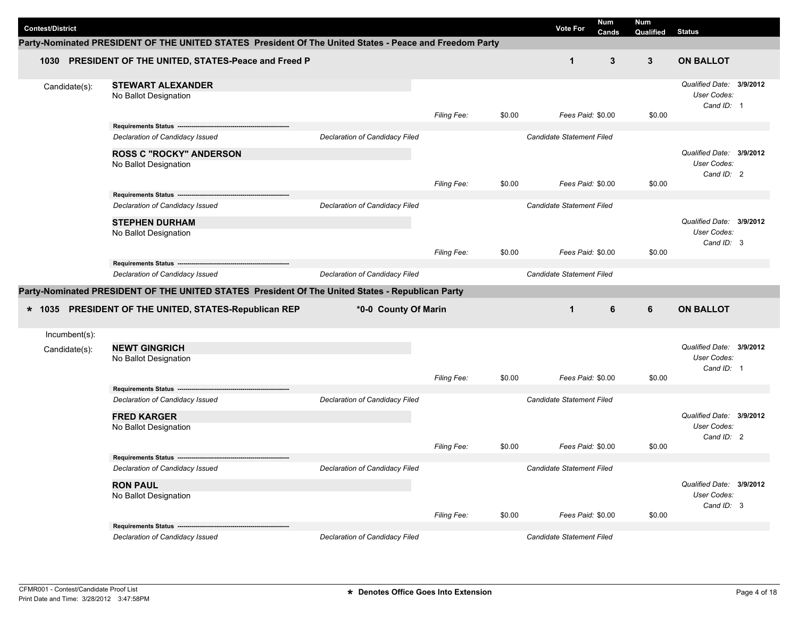| <b>Contest/District</b> |                                                                                                          |                                |                    |        | <b>Vote For</b>           | Num<br>Cands | <b>Num</b><br>Qualified | <b>Status</b>                                         |  |
|-------------------------|----------------------------------------------------------------------------------------------------------|--------------------------------|--------------------|--------|---------------------------|--------------|-------------------------|-------------------------------------------------------|--|
|                         | Party-Nominated PRESIDENT OF THE UNITED STATES  President Of The United States - Peace and Freedom Party |                                |                    |        |                           |              |                         |                                                       |  |
|                         | 1030 PRESIDENT OF THE UNITED, STATES-Peace and Freed P                                                   |                                |                    |        | $\mathbf 1$               | 3            | 3                       | <b>ON BALLOT</b>                                      |  |
| Candidate(s):           | <b>STEWART ALEXANDER</b><br>No Ballot Designation                                                        |                                | Filing Fee:        | \$0.00 | Fees Paid: \$0.00         |              | \$0.00                  | Qualified Date: 3/9/2012<br>User Codes:<br>Cand ID: 1 |  |
|                         | Requirements Status --                                                                                   |                                |                    |        |                           |              |                         |                                                       |  |
|                         | Declaration of Candidacy Issued                                                                          | Declaration of Candidacy Filed |                    |        | Candidate Statement Filed |              |                         |                                                       |  |
|                         | <b>ROSS C "ROCKY" ANDERSON</b><br>No Ballot Designation                                                  |                                |                    |        |                           |              |                         | Qualified Date: 3/9/2012<br>User Codes:<br>Cand ID: 2 |  |
|                         |                                                                                                          |                                | Filing Fee:        | \$0.00 | Fees Paid: \$0.00         |              | \$0.00                  |                                                       |  |
|                         | Requirements Status --                                                                                   |                                |                    |        |                           |              |                         |                                                       |  |
|                         | Declaration of Candidacy Issued                                                                          | Declaration of Candidacy Filed |                    |        | Candidate Statement Filed |              |                         |                                                       |  |
|                         | <b>STEPHEN DURHAM</b><br>No Ballot Designation                                                           |                                |                    |        |                           |              |                         | Qualified Date: 3/9/2012<br>User Codes:<br>Cand ID: 3 |  |
|                         |                                                                                                          |                                | Filing Fee:        | \$0.00 | Fees Paid: \$0.00         |              | \$0.00                  |                                                       |  |
|                         |                                                                                                          |                                |                    |        |                           |              |                         |                                                       |  |
|                         | Declaration of Candidacy Issued                                                                          | Declaration of Candidacy Filed |                    |        | Candidate Statement Filed |              |                         |                                                       |  |
|                         | Party-Nominated PRESIDENT OF THE UNITED STATES President Of The United States - Republican Party         |                                |                    |        |                           |              |                         |                                                       |  |
|                         | * 1035 PRESIDENT OF THE UNITED, STATES-Republican REP                                                    | *0-0 County Of Marin           |                    |        | $\mathbf 1$               | 6            | 6                       | <b>ON BALLOT</b>                                      |  |
| Incumbent(s):           |                                                                                                          |                                |                    |        |                           |              |                         |                                                       |  |
| Candidate(s):           | <b>NEWT GINGRICH</b><br>No Ballot Designation                                                            |                                |                    |        |                           |              |                         | Qualified Date: 3/9/2012<br>User Codes:<br>Cand ID: 1 |  |
|                         |                                                                                                          |                                | Filing Fee:        | \$0.00 | Fees Paid: \$0.00         |              | \$0.00                  |                                                       |  |
|                         | Requirements Status --<br>Declaration of Candidacy Issued                                                | Declaration of Candidacy Filed |                    |        | Candidate Statement Filed |              |                         |                                                       |  |
|                         | <b>FRED KARGER</b><br>No Ballot Designation                                                              |                                |                    |        |                           |              |                         | Qualified Date: 3/9/2012<br>User Codes:<br>Cand ID: 2 |  |
|                         | Requirements Status ---                                                                                  |                                | <b>Filing Fee:</b> | \$0.00 | Fees Paid: \$0.00         |              | \$0.00                  |                                                       |  |
|                         | Declaration of Candidacy Issued                                                                          | Declaration of Candidacy Filed |                    |        | Candidate Statement Filed |              |                         |                                                       |  |
|                         | <b>RON PAUL</b><br>No Ballot Designation                                                                 |                                |                    |        |                           |              |                         | Qualified Date: 3/9/2012<br>User Codes:<br>Cand ID: 3 |  |
|                         |                                                                                                          |                                | Filing Fee:        | \$0.00 | Fees Paid: \$0.00         |              | \$0.00                  |                                                       |  |
|                         |                                                                                                          |                                |                    |        |                           |              |                         |                                                       |  |
|                         | Declaration of Candidacy Issued                                                                          | Declaration of Candidacy Filed |                    |        | Candidate Statement Filed |              |                         |                                                       |  |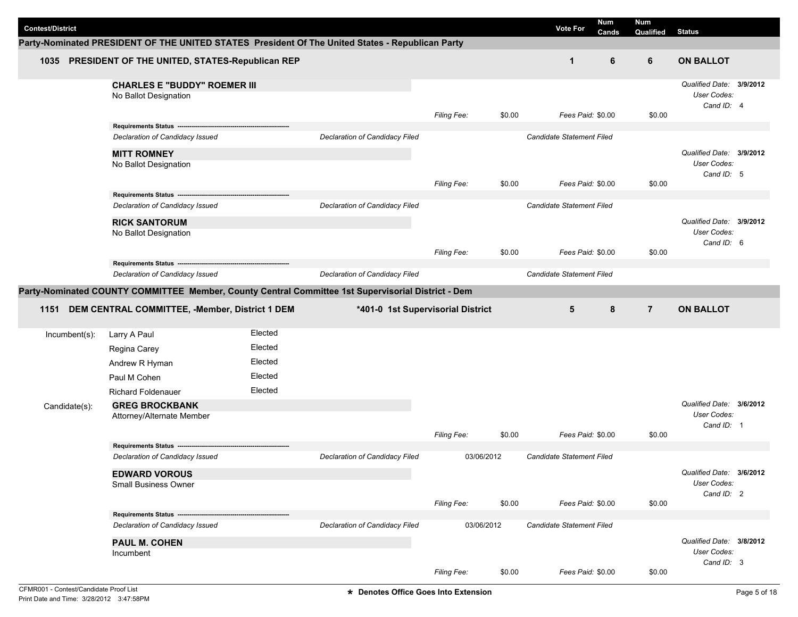| <b>Contest/District</b> |               |                                                                                                    |         |                                       |                                   |        | <b>Num</b><br><b>Vote For</b> | <b>Num</b>     |                                         |  |
|-------------------------|---------------|----------------------------------------------------------------------------------------------------|---------|---------------------------------------|-----------------------------------|--------|-------------------------------|----------------|-----------------------------------------|--|
|                         |               | Party-Nominated PRESIDENT OF THE UNITED STATES President Of The United States - Republican Party   |         |                                       |                                   |        | Cands                         | Qualified      | <b>Status</b>                           |  |
|                         |               |                                                                                                    |         |                                       |                                   |        |                               |                |                                         |  |
|                         |               | 1035 PRESIDENT OF THE UNITED, STATES-Republican REP                                                |         |                                       |                                   |        | 6<br>$\mathbf 1$              | 6              | <b>ON BALLOT</b>                        |  |
|                         |               | <b>CHARLES E "BUDDY" ROEMER III</b>                                                                |         |                                       |                                   |        |                               |                | Qualified Date: 3/9/2012                |  |
|                         |               | No Ballot Designation                                                                              |         |                                       |                                   |        |                               |                | User Codes:                             |  |
|                         |               |                                                                                                    |         |                                       | Filing Fee:                       | \$0.00 | Fees Paid: \$0.00             | \$0.00         | Cand ID: 4                              |  |
|                         |               | Requirements Status ----                                                                           |         |                                       |                                   |        |                               |                |                                         |  |
|                         |               | Declaration of Candidacy Issued                                                                    |         | Declaration of Candidacy Filed        |                                   |        | Candidate Statement Filed     |                |                                         |  |
|                         |               | <b>MITT ROMNEY</b>                                                                                 |         |                                       |                                   |        |                               |                | Qualified Date: 3/9/2012                |  |
|                         |               | No Ballot Designation                                                                              |         |                                       |                                   |        |                               |                | User Codes:                             |  |
|                         |               |                                                                                                    |         |                                       | <b>Filing Fee:</b>                | \$0.00 | Fees Paid: \$0.00             | \$0.00         | Cand ID: 5                              |  |
|                         |               | Requirements Status ----                                                                           |         |                                       |                                   |        |                               |                |                                         |  |
|                         |               | Declaration of Candidacy Issued                                                                    |         | Declaration of Candidacy Filed        |                                   |        | Candidate Statement Filed     |                |                                         |  |
|                         |               | <b>RICK SANTORUM</b>                                                                               |         |                                       |                                   |        |                               |                | Qualified Date: 3/9/2012                |  |
|                         |               | No Ballot Designation                                                                              |         |                                       |                                   |        |                               |                | User Codes:<br>Cand ID: 6               |  |
|                         |               |                                                                                                    |         |                                       | Filing Fee:                       | \$0.00 | Fees Paid: \$0.00             | \$0.00         |                                         |  |
|                         |               | Requirements Status ---                                                                            |         |                                       |                                   |        |                               |                |                                         |  |
|                         |               | Declaration of Candidacy Issued                                                                    |         | Declaration of Candidacy Filed        |                                   |        | Candidate Statement Filed     |                |                                         |  |
|                         |               | Party-Nominated COUNTY COMMITTEE Member, County Central Committee 1st Supervisorial District - Dem |         |                                       |                                   |        |                               |                |                                         |  |
| 1151                    |               | DEM CENTRAL COMMITTEE, -Member, District 1 DEM                                                     |         |                                       | *401-0 1st Supervisorial District |        | 5<br>8                        | $\overline{7}$ | <b>ON BALLOT</b>                        |  |
|                         |               |                                                                                                    |         |                                       |                                   |        |                               |                |                                         |  |
|                         | Incumbent(s): | Larry A Paul                                                                                       | Elected |                                       |                                   |        |                               |                |                                         |  |
|                         |               | Regina Carey                                                                                       | Elected |                                       |                                   |        |                               |                |                                         |  |
|                         |               | Andrew R Hyman                                                                                     | Elected |                                       |                                   |        |                               |                |                                         |  |
|                         |               | Paul M Cohen                                                                                       | Elected |                                       |                                   |        |                               |                |                                         |  |
|                         |               | <b>Richard Foldenauer</b>                                                                          | Elected |                                       |                                   |        |                               |                |                                         |  |
|                         | Candidate(s): | <b>GREG BROCKBANK</b>                                                                              |         |                                       |                                   |        |                               |                | Qualified Date: 3/6/2012<br>User Codes: |  |
|                         |               | Attorney/Alternate Member                                                                          |         |                                       |                                   |        |                               |                | Cand ID: 1                              |  |
|                         |               |                                                                                                    |         |                                       | Filing Fee:                       | \$0.00 | Fees Paid: \$0.00             | \$0.00         |                                         |  |
|                         |               | <b>Requirements Status</b><br>Declaration of Candidacy Issued                                      |         | Declaration of Candidacy Filed        | 03/06/2012                        |        | Candidate Statement Filed     |                |                                         |  |
|                         |               |                                                                                                    |         |                                       |                                   |        |                               |                |                                         |  |
|                         |               | <b>EDWARD VOROUS</b><br><b>Small Business Owner</b>                                                |         |                                       |                                   |        |                               |                | Qualified Date: 3/6/2012<br>User Codes: |  |
|                         |               |                                                                                                    |         |                                       |                                   |        |                               |                | Cand ID: 2                              |  |
|                         |               |                                                                                                    |         |                                       | Filing Fee:                       | \$0.00 | Fees Paid: \$0.00             | \$0.00         |                                         |  |
|                         |               |                                                                                                    |         |                                       |                                   |        |                               |                |                                         |  |
|                         |               | Requirements Status ------<br>Declaration of Candidacy Issued                                      |         | <b>Declaration of Candidacy Filed</b> | 03/06/2012                        |        | Candidate Statement Filed     |                |                                         |  |
|                         |               |                                                                                                    |         |                                       |                                   |        |                               |                |                                         |  |
|                         |               | <b>PAUL M. COHEN</b><br>Incumbent                                                                  |         |                                       |                                   |        |                               |                | Qualified Date: 3/8/2012<br>User Codes: |  |
|                         |               |                                                                                                    |         |                                       | Filing Fee:                       | \$0.00 | Fees Paid: \$0.00             | \$0.00         | Cand ID: 3                              |  |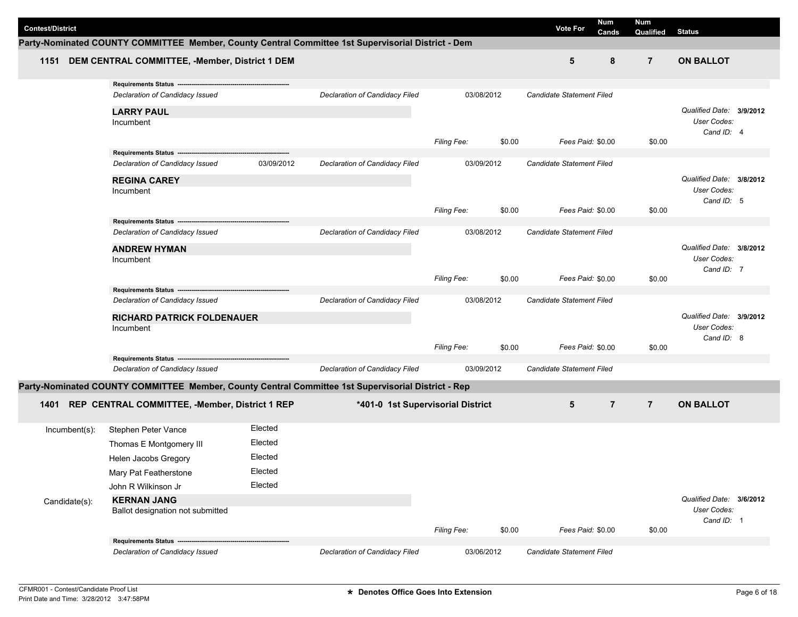| <b>Contest/District</b> |               |                                                                                                    |            |                                   |                    |        | <b>Vote For</b>           | <b>Num</b><br>Cands | <b>Num</b><br>Qualified | <b>Status</b>                           |  |
|-------------------------|---------------|----------------------------------------------------------------------------------------------------|------------|-----------------------------------|--------------------|--------|---------------------------|---------------------|-------------------------|-----------------------------------------|--|
|                         |               | Party-Nominated COUNTY COMMITTEE Member, County Central Committee 1st Supervisorial District - Dem |            |                                   |                    |        |                           |                     |                         |                                         |  |
| 1151                    |               | DEM CENTRAL COMMITTEE, -Member, District 1 DEM                                                     |            |                                   |                    |        | 5                         | 8                   | $\overline{7}$          | <b>ON BALLOT</b>                        |  |
|                         |               | Requirements Status -----------------------                                                        |            |                                   |                    |        |                           |                     |                         |                                         |  |
|                         |               | Declaration of Candidacy Issued                                                                    |            | Declaration of Candidacy Filed    | 03/08/2012         |        | Candidate Statement Filed |                     |                         |                                         |  |
|                         |               | <b>LARRY PAUL</b>                                                                                  |            |                                   |                    |        |                           |                     |                         | Qualified Date: 3/9/2012                |  |
|                         |               | Incumbent                                                                                          |            |                                   |                    |        |                           |                     |                         | User Codes:                             |  |
|                         |               |                                                                                                    |            |                                   |                    |        |                           |                     |                         | Cand ID: 4                              |  |
|                         |               | Requirements Status ------------                                                                   |            |                                   | <b>Filing Fee:</b> | \$0.00 | Fees Paid: \$0.00         |                     | \$0.00                  |                                         |  |
|                         |               | Declaration of Candidacy Issued                                                                    | 03/09/2012 | Declaration of Candidacy Filed    | 03/09/2012         |        | Candidate Statement Filed |                     |                         |                                         |  |
|                         |               | <b>REGINA CAREY</b>                                                                                |            |                                   |                    |        |                           |                     |                         | Qualified Date: 3/8/2012                |  |
|                         |               | Incumbent                                                                                          |            |                                   |                    |        |                           |                     |                         | User Codes:                             |  |
|                         |               |                                                                                                    |            |                                   |                    |        |                           |                     |                         | Cand ID: 5                              |  |
|                         |               |                                                                                                    |            |                                   | <b>Filing Fee:</b> | \$0.00 | Fees Paid: \$0.00         |                     | \$0.00                  |                                         |  |
|                         |               | Declaration of Candidacy Issued                                                                    |            | Declaration of Candidacy Filed    | 03/08/2012         |        | Candidate Statement Filed |                     |                         |                                         |  |
|                         |               |                                                                                                    |            |                                   |                    |        |                           |                     |                         | Qualified Date: 3/8/2012                |  |
|                         |               | <b>ANDREW HYMAN</b><br>Incumbent                                                                   |            |                                   |                    |        |                           |                     |                         | User Codes:                             |  |
|                         |               |                                                                                                    |            |                                   |                    |        |                           |                     |                         | Cand ID: 7                              |  |
|                         |               |                                                                                                    |            |                                   | Filing Fee:        | \$0.00 | Fees Paid: \$0.00         |                     | \$0.00                  |                                         |  |
|                         |               | Requirements Status ---<br>Declaration of Candidacy Issued                                         |            | Declaration of Candidacy Filed    | 03/08/2012         |        | Candidate Statement Filed |                     |                         |                                         |  |
|                         |               |                                                                                                    |            |                                   |                    |        |                           |                     |                         |                                         |  |
|                         |               | <b>RICHARD PATRICK FOLDENAUER</b><br>Incumbent                                                     |            |                                   |                    |        |                           |                     |                         | Qualified Date: 3/9/2012<br>User Codes: |  |
|                         |               |                                                                                                    |            |                                   |                    |        |                           |                     |                         | Cand ID: 8                              |  |
|                         |               |                                                                                                    |            |                                   | <b>Filing Fee:</b> | \$0.00 | Fees Paid: \$0.00         |                     | \$0.00                  |                                         |  |
|                         |               | Requirements Status ----------------------------------<br>Declaration of Candidacy Issued          |            | Declaration of Candidacy Filed    | 03/09/2012         |        | Candidate Statement Filed |                     |                         |                                         |  |
|                         |               |                                                                                                    |            |                                   |                    |        |                           |                     |                         |                                         |  |
|                         |               | Party-Nominated COUNTY COMMITTEE Member, County Central Committee 1st Supervisorial District - Rep |            |                                   |                    |        |                           |                     |                         |                                         |  |
| 1401                    |               | REP CENTRAL COMMITTEE, -Member, District 1 REP                                                     |            | *401-0 1st Supervisorial District |                    |        | 5                         | $\overline{7}$      | $\overline{7}$          | <b>ON BALLOT</b>                        |  |
|                         | Incumbent(s): | Stephen Peter Vance                                                                                | Elected    |                                   |                    |        |                           |                     |                         |                                         |  |
|                         |               | Thomas E Montgomery III                                                                            | Elected    |                                   |                    |        |                           |                     |                         |                                         |  |
|                         |               | Helen Jacobs Gregory                                                                               | Elected    |                                   |                    |        |                           |                     |                         |                                         |  |
|                         |               |                                                                                                    | Elected    |                                   |                    |        |                           |                     |                         |                                         |  |
|                         |               | Mary Pat Featherstone                                                                              | Elected    |                                   |                    |        |                           |                     |                         |                                         |  |
|                         |               | John R Wilkinson Jr<br><b>KERNAN JANG</b>                                                          |            |                                   |                    |        |                           |                     |                         | Qualified Date: 3/6/2012                |  |
|                         | Candidate(s): | Ballot designation not submitted                                                                   |            |                                   |                    |        |                           |                     |                         | User Codes:                             |  |
|                         |               |                                                                                                    |            |                                   |                    |        |                           |                     |                         | Cand ID: 1                              |  |
|                         |               | Requirements Status ------                                                                         |            |                                   | <b>Filing Fee:</b> | \$0.00 | Fees Paid: \$0.00         |                     | \$0.00                  |                                         |  |
|                         |               | Declaration of Candidacy Issued                                                                    |            | Declaration of Candidacy Filed    | 03/06/2012         |        | Candidate Statement Filed |                     |                         |                                         |  |
|                         |               |                                                                                                    |            |                                   |                    |        |                           |                     |                         |                                         |  |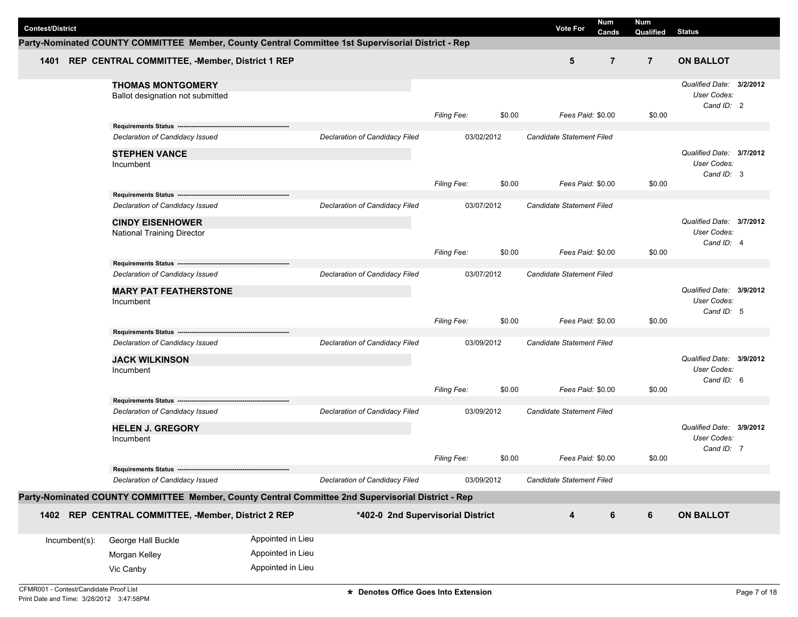| <b>Contest/District</b> |                                                                                                    |                   |                                   |                    |        | <b>Vote For</b>                  | Num<br>Cands   | <b>Num</b><br>Qualified | <b>Status</b>                                                |  |
|-------------------------|----------------------------------------------------------------------------------------------------|-------------------|-----------------------------------|--------------------|--------|----------------------------------|----------------|-------------------------|--------------------------------------------------------------|--|
|                         | Party-Nominated COUNTY COMMITTEE Member, County Central Committee 1st Supervisorial District - Rep |                   |                                   |                    |        |                                  |                |                         |                                                              |  |
|                         | 1401 REP CENTRAL COMMITTEE, -Member, District 1 REP                                                |                   |                                   |                    |        | 5                                | $\overline{7}$ | $\overline{7}$          | <b>ON BALLOT</b>                                             |  |
|                         | <b>THOMAS MONTGOMERY</b><br>Ballot designation not submitted                                       |                   |                                   | Filing Fee:        | \$0.00 | Fees Paid: \$0.00                |                | \$0.00                  | Qualified Date: 3/2/2012<br>User Codes:<br>Cand ID: 2        |  |
|                         | Requirements Status ----------------------                                                         |                   |                                   |                    |        |                                  |                |                         |                                                              |  |
|                         | Declaration of Candidacy Issued                                                                    |                   | Declaration of Candidacy Filed    | 03/02/2012         |        | Candidate Statement Filed        |                |                         |                                                              |  |
|                         | <b>STEPHEN VANCE</b><br>Incumbent                                                                  |                   |                                   |                    |        |                                  |                |                         | Qualified Date: 3/7/2012<br>User Codes:<br>Cand ID: 3        |  |
|                         | Requirements Status ---------------------------------                                              |                   |                                   | <b>Filing Fee:</b> | \$0.00 | Fees Paid: \$0.00                |                | \$0.00                  |                                                              |  |
|                         | Declaration of Candidacy Issued                                                                    |                   | Declaration of Candidacy Filed    | 03/07/2012         |        | <b>Candidate Statement Filed</b> |                |                         |                                                              |  |
|                         | <b>CINDY EISENHOWER</b><br><b>National Training Director</b>                                       |                   |                                   |                    |        |                                  |                |                         | Qualified Date: 3/7/2012<br>User Codes:<br>Cand ID: 4        |  |
|                         |                                                                                                    |                   |                                   | Filing Fee:        | \$0.00 | Fees Paid: \$0.00                |                | \$0.00                  |                                                              |  |
|                         | Requirements Status -----------<br>Declaration of Candidacy Issued                                 |                   | Declaration of Candidacy Filed    | 03/07/2012         |        | Candidate Statement Filed        |                |                         |                                                              |  |
|                         | <b>MARY PAT FEATHERSTONE</b><br>Incumbent                                                          |                   |                                   | Filing Fee:        | \$0.00 | Fees Paid: \$0.00                |                | \$0.00                  | Qualified Date: 3/9/2012<br>User Codes:<br>Cand ID: 5        |  |
|                         | Requirements Status -------------------                                                            |                   |                                   |                    |        |                                  |                |                         |                                                              |  |
|                         | Declaration of Candidacy Issued<br><b>JACK WILKINSON</b><br>Incumbent                              |                   | Declaration of Candidacy Filed    | 03/09/2012         |        | Candidate Statement Filed        |                |                         | Qualified Date: 3/9/2012<br>User Codes:                      |  |
|                         |                                                                                                    |                   |                                   | <b>Filing Fee:</b> | \$0.00 | Fees Paid: \$0.00                |                | \$0.00                  | Cand ID: 6                                                   |  |
|                         | Requirements Status ----<br>Declaration of Candidacy Issued                                        |                   | Declaration of Candidacy Filed    | 03/09/2012         |        | Candidate Statement Filed        |                |                         |                                                              |  |
|                         | <b>HELEN J. GREGORY</b><br>Incumbent                                                               |                   |                                   |                    |        |                                  |                |                         | Qualified Date: 3/9/2012<br><b>User Codes:</b><br>Cand ID: 7 |  |
|                         |                                                                                                    |                   |                                   | <b>Filing Fee:</b> | \$0.00 | Fees Paid: \$0.00                |                | \$0.00                  |                                                              |  |
|                         | Declaration of Candidacy Issued                                                                    |                   | Declaration of Candidacy Filed    | 03/09/2012         |        | Candidate Statement Filed        |                |                         |                                                              |  |
|                         | Party-Nominated COUNTY COMMITTEE Member, County Central Committee 2nd Supervisorial District - Rep |                   |                                   |                    |        |                                  |                |                         |                                                              |  |
|                         | 1402 REP CENTRAL COMMITTEE, -Member, District 2 REP                                                |                   | *402-0 2nd Supervisorial District |                    |        | $\overline{\mathbf{4}}$          | $\bf 6$        | $6\phantom{1}$          | <b>ON BALLOT</b>                                             |  |
| Incumbent(s):           | George Hall Buckle                                                                                 | Appointed in Lieu |                                   |                    |        |                                  |                |                         |                                                              |  |
|                         | Morgan Kelley                                                                                      | Appointed in Lieu |                                   |                    |        |                                  |                |                         |                                                              |  |
|                         | Vic Canby                                                                                          | Appointed in Lieu |                                   |                    |        |                                  |                |                         |                                                              |  |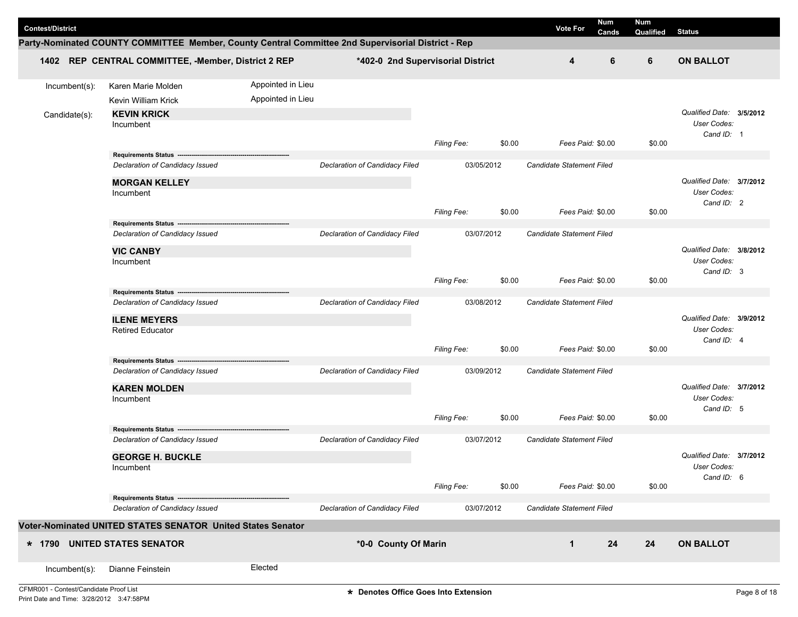|                         |                                                                                                    |                   |                                   |                    |            |                           | Num   | <b>Num</b> |                           |  |
|-------------------------|----------------------------------------------------------------------------------------------------|-------------------|-----------------------------------|--------------------|------------|---------------------------|-------|------------|---------------------------|--|
| <b>Contest/District</b> |                                                                                                    |                   |                                   |                    |            | <b>Vote For</b>           | Cands | Qualified  | <b>Status</b>             |  |
|                         | Party-Nominated COUNTY COMMITTEE Member, County Central Committee 2nd Supervisorial District - Rep |                   |                                   |                    |            |                           |       |            |                           |  |
|                         | 1402 REP CENTRAL COMMITTEE, -Member, District 2 REP                                                |                   | *402-0 2nd Supervisorial District |                    |            | 4                         | 6     | 6          | <b>ON BALLOT</b>          |  |
| Incumbent(s):           | Karen Marie Molden                                                                                 | Appointed in Lieu |                                   |                    |            |                           |       |            |                           |  |
|                         | Kevin William Krick                                                                                | Appointed in Lieu |                                   |                    |            |                           |       |            |                           |  |
| Candidate(s):           | <b>KEVIN KRICK</b>                                                                                 |                   |                                   |                    |            |                           |       |            | Qualified Date: 3/5/2012  |  |
|                         | Incumbent                                                                                          |                   |                                   |                    |            |                           |       |            | User Codes:               |  |
|                         |                                                                                                    |                   |                                   | Filing Fee:        | \$0.00     | Fees Paid: \$0.00         |       | \$0.00     | Cand ID: 1                |  |
|                         | Requirements Status -------------------                                                            |                   |                                   |                    |            |                           |       |            |                           |  |
|                         | Declaration of Candidacy Issued                                                                    |                   | Declaration of Candidacy Filed    |                    | 03/05/2012 | Candidate Statement Filed |       |            |                           |  |
|                         | <b>MORGAN KELLEY</b>                                                                               |                   |                                   |                    |            |                           |       |            | Qualified Date: 3/7/2012  |  |
|                         | Incumbent                                                                                          |                   |                                   |                    |            |                           |       |            | User Codes:               |  |
|                         |                                                                                                    |                   |                                   | <b>Filing Fee:</b> | \$0.00     | Fees Paid: \$0.00         |       | \$0.00     | Cand ID: 2                |  |
|                         | Requirements Status ---                                                                            |                   |                                   |                    |            |                           |       |            |                           |  |
|                         | Declaration of Candidacy Issued                                                                    |                   | Declaration of Candidacy Filed    |                    | 03/07/2012 | Candidate Statement Filed |       |            |                           |  |
|                         | <b>VIC CANBY</b>                                                                                   |                   |                                   |                    |            |                           |       |            | Qualified Date: 3/8/2012  |  |
|                         | Incumbent                                                                                          |                   |                                   |                    |            |                           |       |            | User Codes:<br>Cand ID: 3 |  |
|                         |                                                                                                    |                   |                                   | Filing Fee:        | \$0.00     | Fees Paid: \$0.00         |       | \$0.00     |                           |  |
|                         | <b>Requirements Status</b>                                                                         |                   |                                   |                    |            |                           |       |            |                           |  |
|                         | Declaration of Candidacy Issued                                                                    |                   | Declaration of Candidacy Filed    |                    | 03/08/2012 | Candidate Statement Filed |       |            |                           |  |
|                         | <b>ILENE MEYERS</b>                                                                                |                   |                                   |                    |            |                           |       |            | Qualified Date: 3/9/2012  |  |
|                         | <b>Retired Educator</b>                                                                            |                   |                                   |                    |            |                           |       |            | User Codes:<br>Cand ID: 4 |  |
|                         |                                                                                                    |                   |                                   | Filing Fee:        | \$0.00     | Fees Paid: \$0.00         |       | \$0.00     |                           |  |
|                         | Requirements Status ---                                                                            |                   |                                   |                    |            |                           |       |            |                           |  |
|                         | Declaration of Candidacy Issued                                                                    |                   | Declaration of Candidacy Filed    |                    | 03/09/2012 | Candidate Statement Filed |       |            |                           |  |
|                         | <b>KAREN MOLDEN</b>                                                                                |                   |                                   |                    |            |                           |       |            | Qualified Date: 3/7/2012  |  |
|                         | Incumbent                                                                                          |                   |                                   |                    |            |                           |       |            | User Codes:<br>Cand ID: 5 |  |
|                         |                                                                                                    |                   |                                   | <b>Filing Fee:</b> | \$0.00     | Fees Paid: \$0.00         |       | \$0.00     |                           |  |
|                         | Requirements Status -------------------                                                            |                   |                                   |                    |            |                           |       |            |                           |  |
|                         | Declaration of Candidacy Issued                                                                    |                   | Declaration of Candidacy Filed    |                    | 03/07/2012 | Candidate Statement Filed |       |            |                           |  |
|                         | <b>GEORGE H. BUCKLE</b>                                                                            |                   |                                   |                    |            |                           |       |            | Qualified Date: 3/7/2012  |  |
|                         | Incumbent                                                                                          |                   |                                   |                    |            |                           |       |            | User Codes:<br>Cand ID: 6 |  |
|                         |                                                                                                    |                   |                                   | Filing Fee:        | \$0.00     | Fees Paid: \$0.00         |       | \$0.00     |                           |  |
|                         | Requirements Status -------------------------                                                      |                   | Declaration of Candidacy Filed    |                    | 03/07/2012 | Candidate Statement Filed |       |            |                           |  |
|                         | Declaration of Candidacy Issued                                                                    |                   |                                   |                    |            |                           |       |            |                           |  |
|                         | Voter-Nominated UNITED STATES SENATOR United States Senator                                        |                   |                                   |                    |            |                           |       |            |                           |  |
|                         | * 1790 UNITED STATES SENATOR                                                                       |                   | *0-0 County Of Marin              |                    |            | $\mathbf{1}$              | 24    | 24         | <b>ON BALLOT</b>          |  |
|                         |                                                                                                    |                   |                                   |                    |            |                           |       |            |                           |  |
| Incumbent(s):           | Dianne Feinstein                                                                                   | Elected           |                                   |                    |            |                           |       |            |                           |  |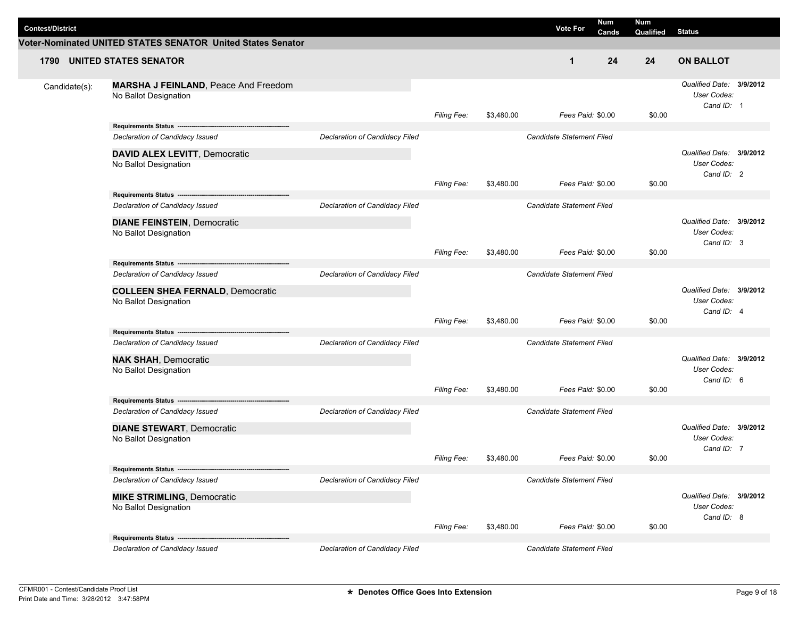| <b>Contest/District</b> |                                                                                                                                                   |                                |                    |            | <b>Vote For</b>                                       | Num   | Num       |                                                       |  |
|-------------------------|---------------------------------------------------------------------------------------------------------------------------------------------------|--------------------------------|--------------------|------------|-------------------------------------------------------|-------|-----------|-------------------------------------------------------|--|
|                         | Voter-Nominated UNITED STATES SENATOR United States Senator                                                                                       |                                |                    |            |                                                       | Cands | Qualified | <b>Status</b>                                         |  |
|                         | <b>1790 UNITED STATES SENATOR</b>                                                                                                                 |                                |                    |            | $\mathbf 1$                                           | 24    | 24        | <b>ON BALLOT</b>                                      |  |
| Candidate(s):           | <b>MARSHA J FEINLAND, Peace And Freedom</b><br>No Ballot Designation                                                                              |                                | Filing Fee:        | \$3,480.00 | Fees Paid: \$0.00                                     |       | \$0.00    | Qualified Date: 3/9/2012<br>User Codes:<br>Cand ID: 1 |  |
|                         | Declaration of Candidacy Issued<br><b>DAVID ALEX LEVITT, Democratic</b><br>No Ballot Designation                                                  | Declaration of Candidacy Filed | Filing Fee:        | \$3,480.00 | <b>Candidate Statement Filed</b><br>Fees Paid: \$0.00 |       | \$0.00    | Qualified Date: 3/9/2012<br>User Codes:<br>Cand ID: 2 |  |
|                         | Declaration of Candidacy Issued<br><b>DIANE FEINSTEIN, Democratic</b><br>No Ballot Designation                                                    | Declaration of Candidacy Filed | <b>Filing Fee:</b> | \$3,480.00 | Candidate Statement Filed<br>Fees Paid: \$0.00        |       | \$0.00    | Qualified Date: 3/9/2012<br>User Codes:<br>Cand ID: 3 |  |
|                         | Requirements Status ----------------<br>Declaration of Candidacy Issued<br><b>COLLEEN SHEA FERNALD, Democratic</b><br>No Ballot Designation       | Declaration of Candidacy Filed | <b>Filing Fee:</b> | \$3,480.00 | Candidate Statement Filed<br>Fees Paid: \$0.00        |       | \$0.00    | Qualified Date: 3/9/2012<br>User Codes:<br>Cand ID: 4 |  |
|                         | Requirements Status ----------------------------------<br>Declaration of Candidacy Issued<br><b>NAK SHAH, Democratic</b><br>No Ballot Designation | Declaration of Candidacy Filed | <b>Filing Fee:</b> | \$3,480.00 | <b>Candidate Statement Filed</b><br>Fees Paid: \$0.00 |       | \$0.00    | Qualified Date: 3/9/2012<br>User Codes:<br>Cand ID: 6 |  |
|                         | Requirements Status --<br>Declaration of Candidacy Issued<br><b>DIANE STEWART, Democratic</b><br>No Ballot Designation                            | Declaration of Candidacy Filed | <b>Filing Fee:</b> | \$3,480.00 | Candidate Statement Filed<br>Fees Paid: \$0.00        |       | \$0.00    | Qualified Date: 3/9/2012<br>User Codes:<br>Cand ID: 7 |  |
|                         | Declaration of Candidacy Issued<br><b>MIKE STRIMLING, Democratic</b><br>No Ballot Designation                                                     | Declaration of Candidacy Filed | Filing Fee:        | \$3,480.00 | <b>Candidate Statement Filed</b><br>Fees Paid: \$0.00 |       | \$0.00    | Qualified Date: 3/9/2012<br>User Codes:<br>Cand ID: 8 |  |
|                         | Requirements Status ---------------------<br>Declaration of Candidacy Issued                                                                      | Declaration of Candidacy Filed |                    |            | Candidate Statement Filed                             |       |           |                                                       |  |

L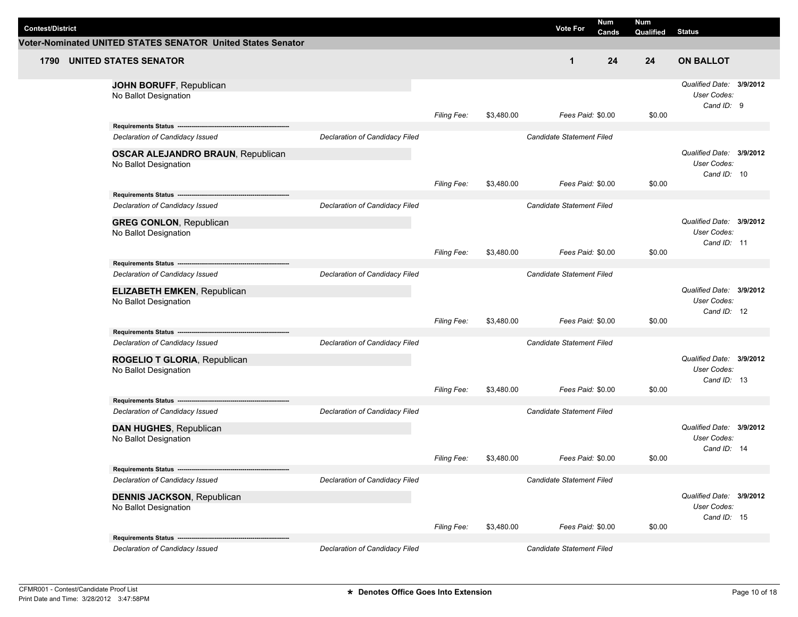| <b>Contest/District</b> |                                                                                            |                                |                    |            | <b>Vote For</b>                  | Num<br>Cands | Num       | <b>Status</b>                                                 |  |
|-------------------------|--------------------------------------------------------------------------------------------|--------------------------------|--------------------|------------|----------------------------------|--------------|-----------|---------------------------------------------------------------|--|
|                         | Voter-Nominated UNITED STATES SENATOR United States Senator                                |                                |                    |            |                                  |              | Qualified |                                                               |  |
| 1790                    | <b>UNITED STATES SENATOR</b>                                                               |                                |                    |            | $\mathbf 1$                      | 24           | 24        | <b>ON BALLOT</b>                                              |  |
|                         | JOHN BORUFF, Republican<br>No Ballot Designation                                           |                                | Filing Fee:        | \$3,480.00 | Fees Paid: \$0.00                |              | \$0.00    | Qualified Date: 3/9/2012<br>User Codes:<br>Cand ID: 9         |  |
|                         | Declaration of Candidacy Issued                                                            | Declaration of Candidacy Filed |                    |            | <b>Candidate Statement Filed</b> |              |           | Qualified Date: 3/9/2012                                      |  |
|                         | <b>OSCAR ALEJANDRO BRAUN, Republican</b><br>No Ballot Designation                          |                                | Filing Fee:        | \$3,480.00 | Fees Paid: \$0.00                |              | \$0.00    | <b>User Codes:</b><br>Cand ID: 10                             |  |
|                         | Declaration of Candidacy Issued                                                            | Declaration of Candidacy Filed |                    |            | Candidate Statement Filed        |              |           |                                                               |  |
|                         | <b>GREG CONLON, Republican</b><br>No Ballot Designation                                    |                                |                    |            |                                  |              |           | Qualified Date: 3/9/2012<br>User Codes:<br>Cand ID: 11        |  |
|                         | Requirements Status -------------                                                          |                                | <b>Filing Fee:</b> | \$3,480.00 | Fees Paid: \$0.00                |              | \$0.00    |                                                               |  |
|                         | Declaration of Candidacy Issued<br><b>ELIZABETH EMKEN, Republican</b>                      | Declaration of Candidacy Filed |                    |            | Candidate Statement Filed        |              |           | Qualified Date: 3/9/2012                                      |  |
|                         | No Ballot Designation                                                                      |                                | <b>Filing Fee:</b> | \$3,480.00 | Fees Paid: \$0.00                |              | \$0.00    | User Codes:<br>Cand ID: 12                                    |  |
|                         | Requirements Status -----------------------------------<br>Declaration of Candidacy Issued | Declaration of Candidacy Filed |                    |            | <b>Candidate Statement Filed</b> |              |           |                                                               |  |
|                         | ROGELIO T GLORIA, Republican<br>No Ballot Designation                                      |                                |                    |            |                                  |              |           | Qualified Date: 3/9/2012<br><b>User Codes:</b><br>Cand ID: 13 |  |
|                         | Requirements Status --                                                                     |                                | <b>Filing Fee:</b> | \$3,480.00 | Fees Paid: \$0.00                |              | \$0.00    |                                                               |  |
|                         | Declaration of Candidacy Issued                                                            | Declaration of Candidacy Filed |                    |            | Candidate Statement Filed        |              |           | Qualified Date: 3/9/2012                                      |  |
|                         | DAN HUGHES, Republican<br>No Ballot Designation                                            |                                |                    |            |                                  |              |           | User Codes:<br>Cand ID: 14                                    |  |
|                         |                                                                                            |                                | <b>Filing Fee:</b> | \$3,480.00 | Fees Paid: \$0.00                |              | \$0.00    |                                                               |  |
|                         | Declaration of Candidacy Issued                                                            | Declaration of Candidacy Filed |                    |            | <b>Candidate Statement Filed</b> |              |           |                                                               |  |
|                         | <b>DENNIS JACKSON, Republican</b><br>No Ballot Designation                                 |                                |                    |            |                                  |              |           | Qualified Date: 3/9/2012<br>User Codes:<br>Cand ID: 15        |  |
|                         |                                                                                            |                                | Filing Fee:        | \$3,480.00 | Fees Paid: \$0.00                |              | \$0.00    |                                                               |  |
|                         | Requirements Status ---------------------<br>Declaration of Candidacy Issued               | Declaration of Candidacy Filed |                    |            | Candidate Statement Filed        |              |           |                                                               |  |

L,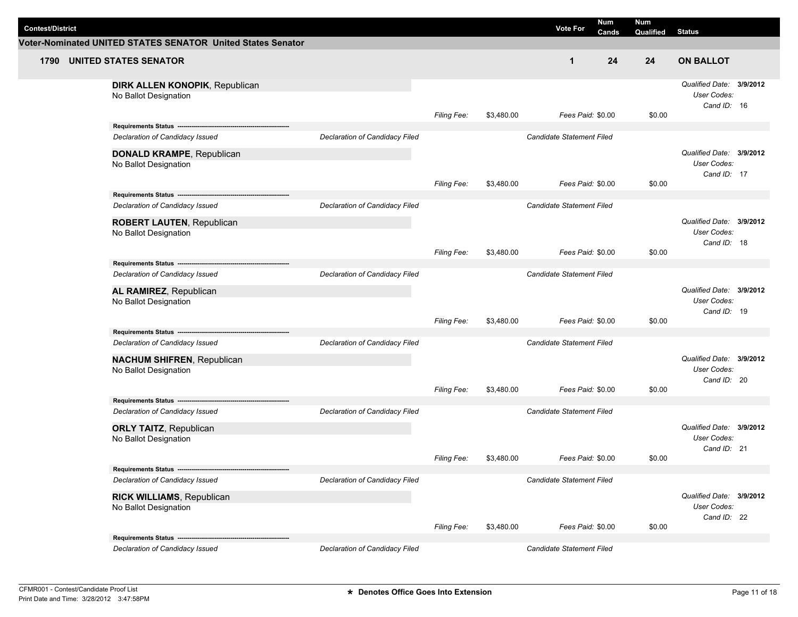| <b>Contest/District</b> |                                                                                              |                                |                    |            | <b>Vote For</b>                  | Num<br>Cands | Num<br>Qualified | <b>Status</b>                                                 |  |
|-------------------------|----------------------------------------------------------------------------------------------|--------------------------------|--------------------|------------|----------------------------------|--------------|------------------|---------------------------------------------------------------|--|
|                         | Voter-Nominated UNITED STATES SENATOR United States Senator                                  |                                |                    |            |                                  |              |                  |                                                               |  |
| 1790                    | <b>UNITED STATES SENATOR</b>                                                                 |                                |                    |            | $\mathbf 1$                      | 24           | 24               | <b>ON BALLOT</b>                                              |  |
|                         | DIRK ALLEN KONOPIK, Republican<br>No Ballot Designation                                      |                                | Filing Fee:        | \$3,480.00 | Fees Paid: \$0.00                |              | \$0.00           | Qualified Date: 3/9/2012<br>User Codes:<br>Cand ID: 16        |  |
|                         |                                                                                              |                                |                    |            | <b>Candidate Statement Filed</b> |              |                  |                                                               |  |
|                         | Declaration of Candidacy Issued<br><b>DONALD KRAMPE, Republican</b><br>No Ballot Designation | Declaration of Candidacy Filed | Filing Fee:        | \$3,480.00 | Fees Paid: \$0.00                |              | \$0.00           | Qualified Date: 3/9/2012<br><b>User Codes:</b><br>Cand ID: 17 |  |
|                         |                                                                                              |                                |                    |            |                                  |              |                  |                                                               |  |
|                         | Declaration of Candidacy Issued<br><b>ROBERT LAUTEN, Republican</b><br>No Ballot Designation | Declaration of Candidacy Filed |                    |            | Candidate Statement Filed        |              |                  | Qualified Date: 3/9/2012<br>User Codes:<br>Cand ID: 18        |  |
|                         | Requirements Status -----------                                                              |                                | <b>Filing Fee:</b> | \$3,480.00 | Fees Paid: \$0.00                |              | \$0.00           |                                                               |  |
|                         | Declaration of Candidacy Issued<br>AL RAMIREZ, Republican<br>No Ballot Designation           | Declaration of Candidacy Filed |                    |            | Candidate Statement Filed        |              |                  | Qualified Date: 3/9/2012<br>User Codes:                       |  |
|                         |                                                                                              |                                | <b>Filing Fee:</b> | \$3,480.00 | Fees Paid: \$0.00                |              | \$0.00           | Cand ID: 19                                                   |  |
|                         | Requirements Status ----------------------------------<br>Declaration of Candidacy Issued    | Declaration of Candidacy Filed |                    |            | <b>Candidate Statement Filed</b> |              |                  |                                                               |  |
|                         | <b>NACHUM SHIFREN, Republican</b><br>No Ballot Designation                                   |                                | <b>Filing Fee:</b> | \$3,480.00 | Fees Paid: \$0.00                |              | \$0.00           | Qualified Date: 3/9/2012<br><b>User Codes:</b><br>Cand ID: 20 |  |
|                         | Requirements Status --                                                                       |                                |                    |            |                                  |              |                  |                                                               |  |
|                         | Declaration of Candidacy Issued<br><b>ORLY TAITZ, Republican</b><br>No Ballot Designation    | Declaration of Candidacy Filed |                    |            | Candidate Statement Filed        |              |                  | Qualified Date: 3/9/2012<br>User Codes:                       |  |
|                         |                                                                                              |                                | <b>Filing Fee:</b> | \$3,480.00 | Fees Paid: \$0.00                |              | \$0.00           | Cand ID: 21                                                   |  |
|                         | Declaration of Candidacy Issued                                                              | Declaration of Candidacy Filed |                    |            | <b>Candidate Statement Filed</b> |              |                  |                                                               |  |
|                         | <b>RICK WILLIAMS, Republican</b><br>No Ballot Designation                                    |                                |                    |            |                                  |              |                  | Qualified Date: 3/9/2012<br>User Codes:<br>Cand ID: 22        |  |
|                         |                                                                                              |                                | Filing Fee:        | \$3,480.00 | Fees Paid: \$0.00                |              | \$0.00           |                                                               |  |
|                         | Requirements Status -------------------<br>Declaration of Candidacy Issued                   | Declaration of Candidacy Filed |                    |            | Candidate Statement Filed        |              |                  |                                                               |  |

L,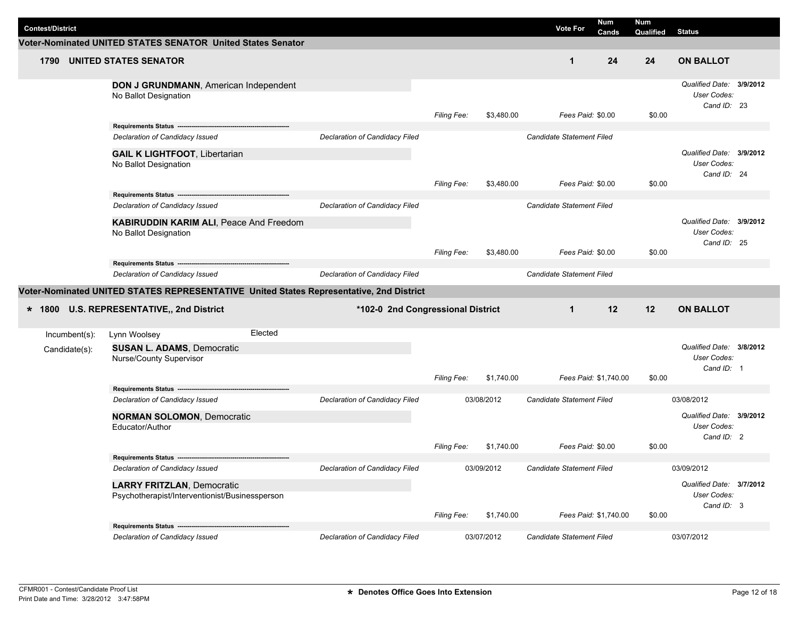|                         |                                                                                                     |                                   |                    |            |                           | <b>Num</b>            | <b>Num</b> |                                                        |  |
|-------------------------|-----------------------------------------------------------------------------------------------------|-----------------------------------|--------------------|------------|---------------------------|-----------------------|------------|--------------------------------------------------------|--|
| <b>Contest/District</b> |                                                                                                     |                                   |                    |            | <b>Vote For</b>           | Cands                 | Qualified  | <b>Status</b>                                          |  |
|                         | Voter-Nominated UNITED STATES SENATOR United States Senator                                         |                                   |                    |            |                           |                       |            |                                                        |  |
| 1790                    | <b>UNITED STATES SENATOR</b>                                                                        |                                   |                    |            | $\mathbf 1$               | 24                    | 24         | <b>ON BALLOT</b>                                       |  |
|                         | DON J GRUNDMANN, American Independent<br>No Ballot Designation                                      |                                   | Filing Fee:        | \$3,480.00 | Fees Paid: \$0.00         |                       | \$0.00     | Qualified Date: 3/9/2012<br>User Codes:<br>Cand ID: 23 |  |
|                         |                                                                                                     |                                   |                    |            |                           |                       |            |                                                        |  |
|                         | Declaration of Candidacy Issued                                                                     | Declaration of Candidacy Filed    |                    |            | Candidate Statement Filed |                       |            |                                                        |  |
|                         | <b>GAIL K LIGHTFOOT, Libertarian</b><br>No Ballot Designation                                       |                                   |                    |            |                           |                       |            | Qualified Date: 3/9/2012<br>User Codes:<br>Cand ID: 24 |  |
|                         |                                                                                                     |                                   | Filing Fee:        | \$3,480.00 | Fees Paid: \$0.00         |                       | \$0.00     |                                                        |  |
|                         |                                                                                                     |                                   |                    |            |                           |                       |            |                                                        |  |
|                         | Declaration of Candidacy Issued<br>KABIRUDDIN KARIM ALI, Peace And Freedom<br>No Ballot Designation | Declaration of Candidacy Filed    |                    |            | Candidate Statement Filed |                       |            | Qualified Date: 3/9/2012<br>User Codes:                |  |
|                         |                                                                                                     |                                   | <b>Filing Fee:</b> | \$3,480.00 | Fees Paid: \$0.00         |                       | \$0.00     | Cand ID: 25                                            |  |
|                         | Requirements Status -------------------------------                                                 |                                   |                    |            |                           |                       |            |                                                        |  |
|                         | Declaration of Candidacy Issued                                                                     | Declaration of Candidacy Filed    |                    |            | Candidate Statement Filed |                       |            |                                                        |  |
|                         | Voter-Nominated UNITED STATES REPRESENTATIVE United States Representative, 2nd District             |                                   |                    |            |                           |                       |            |                                                        |  |
|                         | * 1800 U.S. REPRESENTATIVE,, 2nd District                                                           | *102-0 2nd Congressional District |                    |            | $\mathbf 1$               | 12                    | 12         | <b>ON BALLOT</b>                                       |  |
| Incumbent(s):           | Elected<br>Lynn Woolsey                                                                             |                                   |                    |            |                           |                       |            |                                                        |  |
| Candidate(s):           | <b>SUSAN L. ADAMS, Democratic</b><br>Nurse/County Supervisor                                        |                                   |                    |            |                           |                       |            | Qualified Date: 3/8/2012<br>User Codes:<br>Cand ID: 1  |  |
|                         |                                                                                                     |                                   | Filing Fee:        | \$1,740.00 |                           | Fees Paid: \$1,740.00 | \$0.00     |                                                        |  |
|                         | Requirements Status ---                                                                             |                                   |                    |            |                           |                       |            |                                                        |  |
|                         | Declaration of Candidacy Issued                                                                     | Declaration of Candidacy Filed    |                    | 03/08/2012 | Candidate Statement Filed |                       |            | 03/08/2012                                             |  |
|                         | <b>NORMAN SOLOMON, Democratic</b><br>Educator/Author                                                |                                   |                    |            |                           |                       |            | Qualified Date: 3/9/2012<br>User Codes:<br>Cand ID: 2  |  |
|                         |                                                                                                     |                                   | <b>Filing Fee:</b> | \$1,740.00 | Fees Paid: \$0.00         |                       | \$0.00     |                                                        |  |
|                         |                                                                                                     |                                   |                    |            |                           |                       |            |                                                        |  |
|                         | Declaration of Candidacy Issued                                                                     | Declaration of Candidacy Filed    |                    | 03/09/2012 | Candidate Statement Filed |                       |            | 03/09/2012                                             |  |
|                         | <b>LARRY FRITZLAN, Democratic</b><br>Psychotherapist/Interventionist/Businessperson                 |                                   |                    |            |                           |                       |            | Qualified Date: 3/7/2012<br>User Codes:<br>Cand ID: 3  |  |
|                         |                                                                                                     |                                   | Filing Fee:        | \$1,740.00 |                           | Fees Paid: \$1,740.00 | \$0.00     |                                                        |  |
|                         | Requirements Status ------<br>Declaration of Candidacy Issued                                       | Declaration of Candidacy Filed    |                    | 03/07/2012 | Candidate Statement Filed |                       |            | 03/07/2012                                             |  |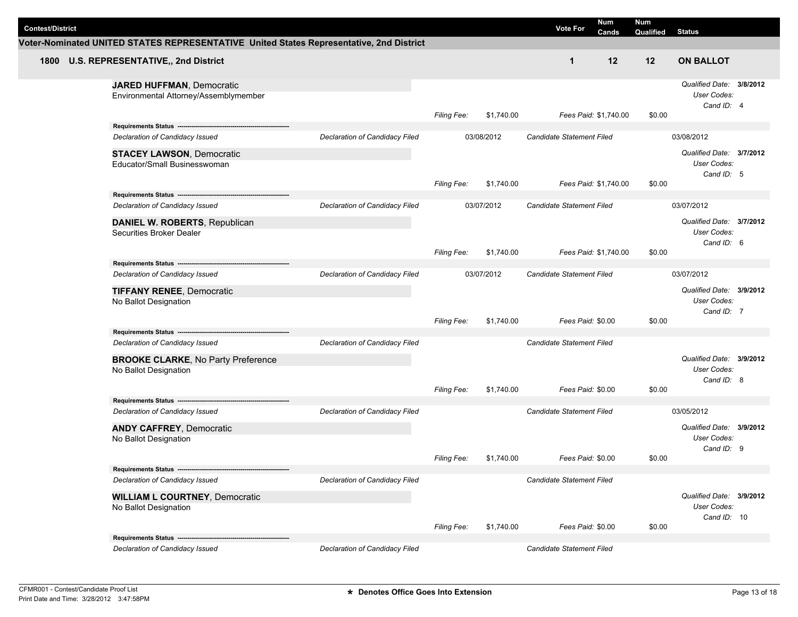| <b>Contest/District</b> |                                                                                         |                                |                    |            | <b>Vote For</b>                  | Num<br>Cands | <b>Num</b><br>Qualified | <b>Status</b>                                          |  |
|-------------------------|-----------------------------------------------------------------------------------------|--------------------------------|--------------------|------------|----------------------------------|--------------|-------------------------|--------------------------------------------------------|--|
|                         | Voter-Nominated UNITED STATES REPRESENTATIVE United States Representative, 2nd District |                                |                    |            |                                  |              |                         |                                                        |  |
|                         | 1800 U.S. REPRESENTATIVE,, 2nd District                                                 |                                |                    |            | $\mathbf 1$                      | 12           | 12                      | <b>ON BALLOT</b>                                       |  |
|                         | <b>JARED HUFFMAN, Democratic</b><br>Environmental Attorney/Assemblymember               |                                | <b>Filing Fee:</b> | \$1,740.00 | Fees Paid: \$1,740.00            |              | \$0.00                  | Qualified Date: 3/8/2012<br>User Codes:<br>Cand ID: 4  |  |
|                         | Requirements Status ---------------                                                     |                                |                    |            |                                  |              |                         |                                                        |  |
|                         | Declaration of Candidacy Issued                                                         | Declaration of Candidacy Filed |                    | 03/08/2012 | <b>Candidate Statement Filed</b> |              |                         | 03/08/2012                                             |  |
|                         | <b>STACEY LAWSON, Democratic</b><br>Educator/Small Businesswoman                        |                                |                    |            |                                  |              |                         | Qualified Date: 3/7/2012<br>User Codes:<br>Cand ID: 5  |  |
|                         |                                                                                         |                                | Filing Fee:        | \$1,740.00 | Fees Paid: \$1,740.00            |              | \$0.00                  |                                                        |  |
|                         | Requirements Status ---<br>Declaration of Candidacy Issued                              | Declaration of Candidacy Filed |                    | 03/07/2012 |                                  |              |                         | 03/07/2012                                             |  |
|                         | DANIEL W. ROBERTS, Republican<br>Securities Broker Dealer                               |                                |                    |            | Candidate Statement Filed        |              |                         | Qualified Date: 3/7/2012<br>User Codes:<br>Cand ID: 6  |  |
|                         |                                                                                         |                                | <b>Filing Fee:</b> | \$1,740.00 | Fees Paid: \$1,740.00            |              | \$0.00                  |                                                        |  |
|                         | Requirements Status ----                                                                |                                |                    |            |                                  |              |                         |                                                        |  |
|                         | <b>Declaration of Candidacy Filed</b><br>Declaration of Candidacy Issued                |                                | 03/07/2012         |            | Candidate Statement Filed        |              |                         | 03/07/2012                                             |  |
|                         | <b>TIFFANY RENEE, Democratic</b><br>No Ballot Designation                               |                                | <b>Filing Fee:</b> | \$1,740.00 | Fees Paid: \$0.00                |              | \$0.00                  | Qualified Date: 3/9/2012<br>User Codes:<br>Cand ID: 7  |  |
|                         | Requirements Status ----------------------------------                                  |                                |                    |            |                                  |              |                         |                                                        |  |
|                         | Declaration of Candidacy Issued                                                         | Declaration of Candidacy Filed |                    |            | Candidate Statement Filed        |              |                         |                                                        |  |
|                         | <b>BROOKE CLARKE, No Party Preference</b><br>No Ballot Designation                      |                                | <b>Filing Fee:</b> | \$1,740.00 | Fees Paid: \$0.00                |              | \$0.00                  | Qualified Date: 3/9/2012<br>User Codes:<br>Cand ID: 8  |  |
|                         | Requirements Status -----------------------                                             |                                |                    |            |                                  |              |                         |                                                        |  |
|                         | Declaration of Candidacy Issued                                                         | Declaration of Candidacy Filed |                    |            | Candidate Statement Filed        |              |                         | 03/05/2012                                             |  |
|                         | <b>ANDY CAFFREY, Democratic</b><br>No Ballot Designation                                |                                |                    |            |                                  |              |                         | Qualified Date: 3/9/2012<br>User Codes:<br>Cand ID: 9  |  |
|                         |                                                                                         |                                | <b>Filing Fee:</b> | \$1,740.00 | Fees Paid: \$0.00                |              | \$0.00                  |                                                        |  |
|                         | Requirements Status -------------------------<br>Declaration of Candidacy Issued        | Declaration of Candidacy Filed |                    |            | Candidate Statement Filed        |              |                         |                                                        |  |
|                         | <b>WILLIAM L COURTNEY, Democratic</b><br>No Ballot Designation                          |                                |                    |            |                                  |              |                         | Qualified Date: 3/9/2012<br>User Codes:<br>Cand ID: 10 |  |
|                         |                                                                                         |                                | <b>Filing Fee:</b> | \$1,740.00 | Fees Paid: \$0.00                |              | \$0.00                  |                                                        |  |
|                         | Requirements Status ------------------------<br>Declaration of Candidacy Issued         | Declaration of Candidacy Filed |                    |            | Candidate Statement Filed        |              |                         |                                                        |  |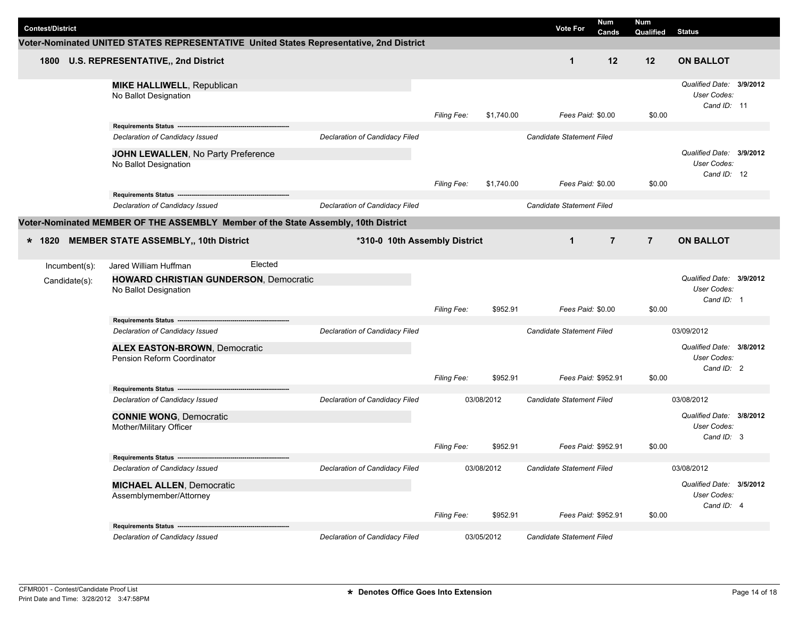|                         |                                                                                         |                                |                    |            | <b>Vote For</b>           | <b>Num</b>     | Num            |                                                        |  |
|-------------------------|-----------------------------------------------------------------------------------------|--------------------------------|--------------------|------------|---------------------------|----------------|----------------|--------------------------------------------------------|--|
| <b>Contest/District</b> | Voter-Nominated UNITED STATES REPRESENTATIVE United States Representative, 2nd District |                                |                    |            |                           | Cands          | Qualified      | <b>Status</b>                                          |  |
|                         |                                                                                         |                                |                    |            |                           |                |                |                                                        |  |
| 1800                    | U.S. REPRESENTATIVE,, 2nd District                                                      |                                |                    |            | $\mathbf 1$               | 12             | 12             | <b>ON BALLOT</b>                                       |  |
|                         | <b>MIKE HALLIWELL, Republican</b><br>No Ballot Designation                              |                                | <b>Filing Fee:</b> | \$1,740.00 | Fees Paid: \$0.00         |                | \$0.00         | Qualified Date: 3/9/2012<br>User Codes:<br>Cand ID: 11 |  |
|                         |                                                                                         |                                |                    |            |                           |                |                |                                                        |  |
|                         | Declaration of Candidacy Issued                                                         | Declaration of Candidacy Filed |                    |            | Candidate Statement Filed |                |                |                                                        |  |
|                         | JOHN LEWALLEN, No Party Preference<br>No Ballot Designation                             |                                |                    | \$1,740.00 | Fees Paid: \$0.00         |                | \$0.00         | Qualified Date: 3/9/2012<br>User Codes:<br>Cand ID: 12 |  |
|                         |                                                                                         |                                | <b>Filing Fee:</b> |            |                           |                |                |                                                        |  |
|                         | Declaration of Candidacy Issued                                                         | Declaration of Candidacy Filed |                    |            | Candidate Statement Filed |                |                |                                                        |  |
|                         | Voter-Nominated MEMBER OF THE ASSEMBLY Member of the State Assembly, 10th District      |                                |                    |            |                           |                |                |                                                        |  |
|                         |                                                                                         | *310-0 10th Assembly District  |                    |            | $\mathbf 1$               | $\overline{7}$ | $\overline{7}$ | <b>ON BALLOT</b>                                       |  |
| * 1820                  | <b>MEMBER STATE ASSEMBLY,, 10th District</b>                                            |                                |                    |            |                           |                |                |                                                        |  |
| Incumbent(s):           | Elected<br>Jared William Huffman                                                        |                                |                    |            |                           |                |                |                                                        |  |
| Candidate(s):           | <b>HOWARD CHRISTIAN GUNDERSON, Democratic</b><br>No Ballot Designation                  |                                |                    |            |                           |                |                | Qualified Date: 3/9/2012<br>User Codes:<br>Cand ID: 1  |  |
|                         |                                                                                         |                                | Filing Fee:        | \$952.91   | Fees Paid: \$0.00         |                | \$0.00         |                                                        |  |
|                         | Declaration of Candidacy Issued                                                         | Declaration of Candidacy Filed |                    |            | Candidate Statement Filed |                |                | 03/09/2012                                             |  |
|                         | <b>ALEX EASTON-BROWN, Democratic</b><br>Pension Reform Coordinator                      |                                |                    |            |                           |                |                | Qualified Date: 3/8/2012<br>User Codes:<br>Cand ID: 2  |  |
|                         |                                                                                         |                                | Filing Fee:        | \$952.91   | Fees Paid: \$952.91       |                | \$0.00         |                                                        |  |
|                         |                                                                                         |                                |                    |            |                           |                |                |                                                        |  |
|                         | Declaration of Candidacy Issued                                                         | Declaration of Candidacy Filed |                    | 03/08/2012 | Candidate Statement Filed |                |                | 03/08/2012                                             |  |
|                         | <b>CONNIE WONG, Democratic</b><br>Mother/Military Officer                               |                                |                    |            |                           |                |                | Qualified Date: 3/8/2012<br>User Codes:<br>Cand ID: 3  |  |
|                         |                                                                                         |                                | <b>Filing Fee:</b> | \$952.91   | Fees Paid: \$952.91       |                | \$0.00         |                                                        |  |
|                         | Requirements Status ----------------------------------                                  |                                |                    |            |                           |                |                |                                                        |  |
|                         | Declaration of Candidacy Issued                                                         | Declaration of Candidacy Filed |                    | 03/08/2012 | Candidate Statement Filed |                |                | 03/08/2012                                             |  |
|                         | <b>MICHAEL ALLEN, Democratic</b><br>Assemblymember/Attorney                             |                                |                    |            |                           |                |                | Qualified Date: 3/5/2012<br>User Codes:<br>Cand ID: 4  |  |
|                         |                                                                                         |                                | Filing Fee:        | \$952.91   | Fees Paid: \$952.91       |                | \$0.00         |                                                        |  |
|                         | Requirements Status -                                                                   |                                |                    |            |                           |                |                |                                                        |  |
|                         | Declaration of Candidacy Issued                                                         | Declaration of Candidacy Filed |                    | 03/05/2012 | Candidate Statement Filed |                |                |                                                        |  |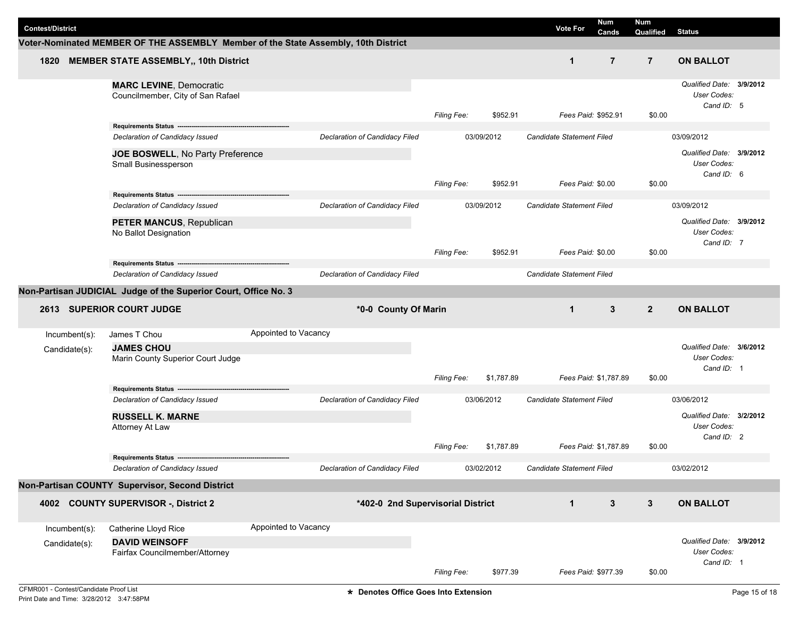| <b>Contest/District</b> |                                                                     |                                                                                    |                    |            | <b>Vote For</b>                  | <b>Num</b><br><b>Cands</b> | Num<br>Qualified | Status                                                |  |
|-------------------------|---------------------------------------------------------------------|------------------------------------------------------------------------------------|--------------------|------------|----------------------------------|----------------------------|------------------|-------------------------------------------------------|--|
|                         |                                                                     | Voter-Nominated MEMBER OF THE ASSEMBLY Member of the State Assembly, 10th District |                    |            |                                  |                            |                  |                                                       |  |
|                         | 1820 MEMBER STATE ASSEMBLY,, 10th District                          |                                                                                    |                    |            | $\mathbf{1}$                     | $\overline{7}$             | $\overline{7}$   | <b>ON BALLOT</b>                                      |  |
|                         | <b>MARC LEVINE, Democratic</b><br>Councilmember, City of San Rafael |                                                                                    | <b>Filing Fee:</b> | \$952.91   | Fees Paid: \$952.91              |                            | \$0.00           | Qualified Date: 3/9/2012<br>User Codes:<br>Cand ID: 5 |  |
|                         |                                                                     |                                                                                    |                    |            |                                  |                            |                  |                                                       |  |
|                         | Declaration of Candidacy Issued                                     | Declaration of Candidacy Filed                                                     |                    | 03/09/2012 | Candidate Statement Filed        |                            |                  | 03/09/2012                                            |  |
|                         | JOE BOSWELL, No Party Preference<br>Small Businessperson            |                                                                                    |                    |            |                                  |                            |                  | Qualified Date: 3/9/2012<br>User Codes:<br>Cand ID: 6 |  |
|                         |                                                                     |                                                                                    | Filing Fee:        | \$952.91   | Fees Paid: \$0.00                |                            | \$0.00           |                                                       |  |
|                         | Declaration of Candidacy Issued                                     | Declaration of Candidacy Filed                                                     |                    | 03/09/2012 | Candidate Statement Filed        |                            |                  | 03/09/2012                                            |  |
|                         | PETER MANCUS, Republican<br>No Ballot Designation                   |                                                                                    |                    |            |                                  |                            |                  | Qualified Date: 3/9/2012<br>User Codes:<br>Cand ID: 7 |  |
|                         |                                                                     |                                                                                    | <b>Filing Fee:</b> | \$952.91   | Fees Paid: \$0.00                |                            | \$0.00           |                                                       |  |
|                         | Requirements Status ---------<br>Declaration of Candidacy Issued    | Declaration of Candidacy Filed                                                     |                    |            | Candidate Statement Filed        |                            |                  |                                                       |  |
|                         |                                                                     |                                                                                    |                    |            |                                  |                            |                  |                                                       |  |
|                         | Non-Partisan JUDICIAL Judge of the Superior Court, Office No. 3     |                                                                                    |                    |            |                                  |                            |                  |                                                       |  |
|                         |                                                                     |                                                                                    |                    |            |                                  |                            |                  |                                                       |  |
|                         | <b>2613 SUPERIOR COURT JUDGE</b>                                    | *0-0 County Of Marin                                                               |                    |            | $\mathbf{1}$                     | 3                          | $\overline{2}$   | <b>ON BALLOT</b>                                      |  |
| Incumbent(s):           | James T Chou                                                        | Appointed to Vacancy                                                               |                    |            |                                  |                            |                  |                                                       |  |
| Candidate(s):           | <b>JAMES CHOU</b><br>Marin County Superior Court Judge              |                                                                                    |                    |            |                                  |                            |                  | Qualified Date: 3/6/2012<br>User Codes:<br>Cand ID: 1 |  |
|                         |                                                                     |                                                                                    | <b>Filing Fee:</b> | \$1,787.89 | Fees Paid: \$1,787.89            |                            | \$0.00           |                                                       |  |
|                         | Declaration of Candidacy Issued                                     | Declaration of Candidacy Filed                                                     |                    | 03/06/2012 | <b>Candidate Statement Filed</b> |                            |                  | 03/06/2012                                            |  |
|                         | <b>RUSSELL K. MARNE</b>                                             |                                                                                    |                    |            |                                  |                            |                  | Qualified Date: 3/2/2012                              |  |
|                         | Attorney At Law                                                     |                                                                                    |                    |            |                                  |                            |                  | User Codes:                                           |  |
|                         |                                                                     |                                                                                    | Filina Fee:        | \$1,787.89 | Fees Paid: \$1,787.89            |                            | \$0.00           | Cand ID: 2                                            |  |
|                         | Requirements Status --                                              |                                                                                    |                    |            |                                  |                            |                  |                                                       |  |
|                         | Declaration of Candidacy Issued                                     | Declaration of Candidacy Filed                                                     |                    | 03/02/2012 | Candidate Statement Filed        |                            |                  | 03/02/2012                                            |  |
|                         | Non-Partisan COUNTY Supervisor, Second District                     |                                                                                    |                    |            |                                  |                            |                  |                                                       |  |
|                         | 4002 COUNTY SUPERVISOR -, District 2                                | *402-0 2nd Supervisorial District                                                  |                    |            | $\mathbf{1}$                     | $\mathbf{3}$               | $\mathbf{3}$     | <b>ON BALLOT</b>                                      |  |
| Incumbent(s):           | Catherine Lloyd Rice                                                | Appointed to Vacancy                                                               |                    |            |                                  |                            |                  |                                                       |  |
| Candidate(s):           | <b>DAVID WEINSOFF</b><br>Fairfax Councilmember/Attorney             |                                                                                    |                    |            |                                  |                            |                  | Qualified Date: 3/9/2012<br>User Codes:<br>Cand ID: 1 |  |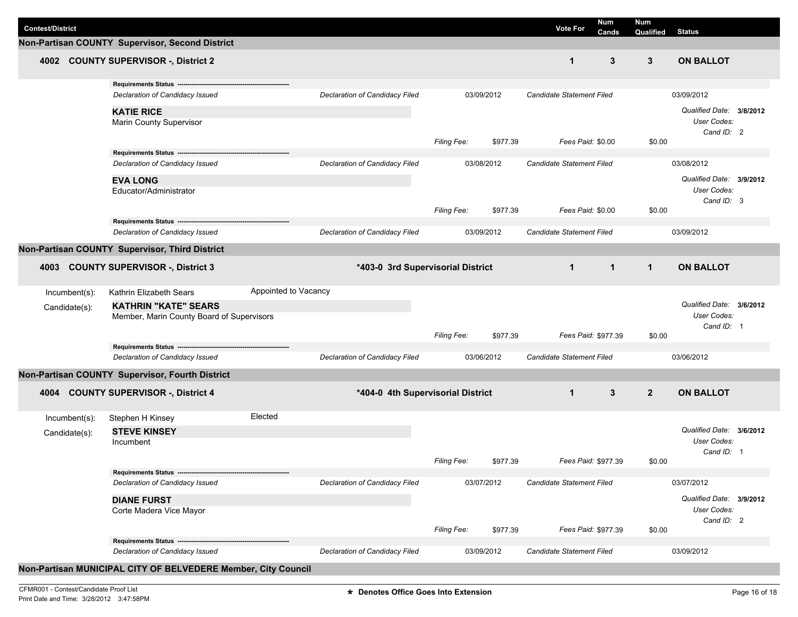| <b>Contest/District</b> |                                                               |                      |                                       |                    |            | <b>Vote For</b>                  | Num<br><b>Cands</b> | <b>Num</b><br>Qualified | <b>Status</b>                                                |  |
|-------------------------|---------------------------------------------------------------|----------------------|---------------------------------------|--------------------|------------|----------------------------------|---------------------|-------------------------|--------------------------------------------------------------|--|
|                         | Non-Partisan COUNTY Supervisor, Second District               |                      |                                       |                    |            |                                  |                     |                         |                                                              |  |
| 4002                    | <b>COUNTY SUPERVISOR -, District 2</b>                        |                      |                                       |                    |            | $\mathbf 1$                      | 3                   | 3                       | <b>ON BALLOT</b>                                             |  |
|                         | Requirements Status ------                                    |                      |                                       |                    |            |                                  |                     |                         |                                                              |  |
|                         | Declaration of Candidacy Issued                               |                      | Declaration of Candidacy Filed        |                    | 03/09/2012 | Candidate Statement Filed        |                     |                         | 03/09/2012                                                   |  |
|                         | <b>KATIE RICE</b><br><b>Marin County Supervisor</b>           |                      |                                       |                    |            |                                  |                     |                         | Qualified Date: 3/8/2012<br><b>User Codes:</b><br>Cand ID: 2 |  |
|                         |                                                               |                      |                                       | Filing Fee:        | \$977.39   |                                  | Fees Paid: \$0.00   | \$0.00                  |                                                              |  |
|                         |                                                               |                      |                                       |                    |            |                                  |                     |                         |                                                              |  |
|                         | Declaration of Candidacy Issued                               |                      | <b>Declaration of Candidacy Filed</b> |                    | 03/08/2012 | Candidate Statement Filed        |                     |                         | 03/08/2012                                                   |  |
|                         | <b>EVA LONG</b>                                               |                      |                                       |                    |            |                                  |                     |                         | Qualified Date: 3/9/2012                                     |  |
|                         | Educator/Administrator                                        |                      |                                       |                    |            |                                  |                     |                         | <b>User Codes:</b>                                           |  |
|                         |                                                               |                      |                                       | Filing Fee:        | \$977.39   |                                  | Fees Paid: \$0.00   | \$0.00                  | Cand ID: 3                                                   |  |
|                         | Requirements Status ---------------------                     |                      |                                       |                    |            |                                  |                     |                         |                                                              |  |
|                         | Declaration of Candidacy Issued                               |                      | Declaration of Candidacy Filed        |                    | 03/09/2012 | Candidate Statement Filed        |                     |                         | 03/09/2012                                                   |  |
|                         | Non-Partisan COUNTY Supervisor, Third District                |                      |                                       |                    |            |                                  |                     |                         |                                                              |  |
|                         |                                                               |                      |                                       |                    |            | $\mathbf{1}$                     |                     | $\mathbf{1}$            | <b>ON BALLOT</b>                                             |  |
| 4003                    | <b>COUNTY SUPERVISOR -, District 3</b>                        |                      | *403-0 3rd Supervisorial District     |                    |            |                                  | $\mathbf{1}$        |                         |                                                              |  |
| Incumbent(s):           | Kathrin Elizabeth Sears                                       | Appointed to Vacancy |                                       |                    |            |                                  |                     |                         |                                                              |  |
|                         | <b>KATHRIN "KATE" SEARS</b>                                   |                      |                                       |                    |            |                                  |                     |                         | Qualified Date: 3/6/2012                                     |  |
| Candidate(s):           | Member, Marin County Board of Supervisors                     |                      |                                       |                    |            |                                  |                     |                         | <b>User Codes:</b>                                           |  |
|                         |                                                               |                      |                                       |                    |            |                                  |                     |                         | Cand ID: 1                                                   |  |
|                         |                                                               |                      |                                       | Filing Fee:        | \$977.39   |                                  | Fees Paid: \$977.39 | \$0.00                  |                                                              |  |
|                         | Declaration of Candidacy Issued                               |                      | Declaration of Candidacy Filed        |                    | 03/06/2012 | Candidate Statement Filed        |                     |                         | 03/06/2012                                                   |  |
|                         |                                                               |                      |                                       |                    |            |                                  |                     |                         |                                                              |  |
|                         | Non-Partisan COUNTY Supervisor, Fourth District               |                      |                                       |                    |            |                                  |                     |                         |                                                              |  |
| 4004                    | <b>COUNTY SUPERVISOR -, District 4</b>                        |                      | *404-0 4th Supervisorial District     |                    |            | $\mathbf{1}$                     | 3                   | $\overline{2}$          | <b>ON BALLOT</b>                                             |  |
| Incumbent(s):           | Stephen H Kinsey                                              | Elected              |                                       |                    |            |                                  |                     |                         |                                                              |  |
| Candidate(s):           | <b>STEVE KINSEY</b>                                           |                      |                                       |                    |            |                                  |                     |                         | Qualified Date: 3/6/2012                                     |  |
|                         | Incumbent                                                     |                      |                                       |                    |            |                                  |                     |                         | User Codes:                                                  |  |
|                         |                                                               |                      |                                       | <b>Filing Fee:</b> | \$977.39   |                                  | Fees Paid: \$977.39 | \$0.00                  | Cand ID: 1                                                   |  |
|                         | Requirements Status ---------------------                     |                      |                                       |                    |            |                                  |                     |                         |                                                              |  |
|                         | Declaration of Candidacy Issued                               |                      | Declaration of Candidacy Filed        |                    | 03/07/2012 | Candidate Statement Filed        |                     |                         | 03/07/2012                                                   |  |
|                         | <b>DIANE FURST</b>                                            |                      |                                       |                    |            |                                  |                     |                         | Qualified Date: 3/9/2012                                     |  |
|                         | Corte Madera Vice Mayor                                       |                      |                                       |                    |            |                                  |                     |                         | User Codes:                                                  |  |
|                         |                                                               |                      |                                       |                    |            |                                  |                     |                         | Cand ID: 2                                                   |  |
|                         |                                                               |                      |                                       | <b>Filing Fee:</b> | \$977.39   |                                  | Fees Paid: \$977.39 | \$0.00                  |                                                              |  |
|                         | Declaration of Candidacy Issued                               |                      | Declaration of Candidacy Filed        |                    | 03/09/2012 | <b>Candidate Statement Filed</b> |                     |                         | 03/09/2012                                                   |  |
|                         |                                                               |                      |                                       |                    |            |                                  |                     |                         |                                                              |  |
|                         | Non-Partisan MUNICIPAL CITY OF BELVEDERE Member, City Council |                      |                                       |                    |            |                                  |                     |                         |                                                              |  |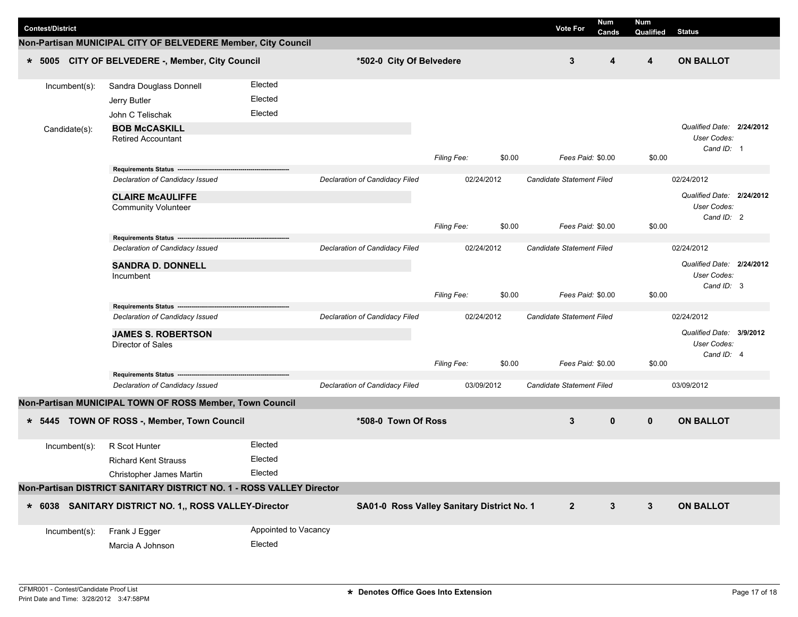| <b>Contest/District</b> |               |                                                                      |                      |                                |                                            |        | <b>Vote For</b>                  | <b>Num</b><br>Cands | <b>Num</b><br>Qualified | <b>Status</b>                                                 |                           |
|-------------------------|---------------|----------------------------------------------------------------------|----------------------|--------------------------------|--------------------------------------------|--------|----------------------------------|---------------------|-------------------------|---------------------------------------------------------------|---------------------------|
|                         |               | Non-Partisan MUNICIPAL CITY OF BELVEDERE Member, City Council        |                      |                                |                                            |        |                                  |                     |                         |                                                               |                           |
|                         |               | * 5005 CITY OF BELVEDERE -, Member, City Council                     |                      | *502-0 City Of Belvedere       |                                            |        | 3                                | 4                   | 4                       | <b>ON BALLOT</b>                                              |                           |
|                         | Incumbent(s): | Sandra Douglass Donnell                                              | Elected              |                                |                                            |        |                                  |                     |                         |                                                               |                           |
|                         |               | Jerry Butler                                                         | Elected              |                                |                                            |        |                                  |                     |                         |                                                               |                           |
|                         |               | John C Telischak                                                     | Elected              |                                |                                            |        |                                  |                     |                         |                                                               |                           |
|                         | Candidate(s): | <b>BOB McCASKILL</b><br><b>Retired Accountant</b>                    |                      |                                |                                            |        |                                  |                     |                         | Qualified Date: 2/24/2012<br><b>User Codes:</b><br>Cand ID: 1 |                           |
|                         |               |                                                                      |                      |                                | <b>Filing Fee:</b>                         | \$0.00 | Fees Paid: \$0.00                |                     | \$0.00                  |                                                               |                           |
|                         |               | Requirements Status ---                                              |                      |                                |                                            |        |                                  |                     |                         |                                                               |                           |
|                         |               | Declaration of Candidacy Issued                                      |                      | Declaration of Candidacy Filed | 02/24/2012                                 |        | Candidate Statement Filed        |                     |                         | 02/24/2012                                                    |                           |
|                         |               | <b>CLAIRE McAULIFFE</b>                                              |                      |                                |                                            |        |                                  |                     |                         |                                                               | Qualified Date: 2/24/2012 |
|                         |               | <b>Community Volunteer</b>                                           |                      |                                |                                            |        |                                  |                     |                         | User Codes:<br>Cand ID: 2                                     |                           |
|                         |               |                                                                      |                      |                                | <b>Filing Fee:</b>                         | \$0.00 | Fees Paid: \$0.00                |                     | \$0.00                  |                                                               |                           |
|                         |               | Requirements Status -------------                                    |                      |                                |                                            |        |                                  |                     |                         |                                                               |                           |
|                         |               | Declaration of Candidacy Issued                                      |                      | Declaration of Candidacy Filed | 02/24/2012                                 |        | <b>Candidate Statement Filed</b> |                     |                         | 02/24/2012                                                    |                           |
|                         |               | <b>SANDRA D. DONNELL</b>                                             |                      |                                |                                            |        |                                  |                     |                         | Qualified Date: 2/24/2012                                     |                           |
|                         |               | Incumbent                                                            |                      |                                |                                            |        |                                  |                     |                         | User Codes:<br>Cand ID: 3                                     |                           |
|                         |               |                                                                      |                      |                                | Filing Fee:                                | \$0.00 | Fees Paid: \$0.00                |                     | \$0.00                  |                                                               |                           |
|                         |               | Requirements Status ---                                              |                      |                                |                                            |        |                                  |                     |                         |                                                               |                           |
|                         |               | Declaration of Candidacy Issued                                      |                      | Declaration of Candidacy Filed | 02/24/2012                                 |        | Candidate Statement Filed        |                     |                         | 02/24/2012                                                    |                           |
|                         |               | <b>JAMES S. ROBERTSON</b>                                            |                      |                                |                                            |        |                                  |                     |                         | Qualified Date: 3/9/2012                                      |                           |
|                         |               | Director of Sales                                                    |                      |                                |                                            |        |                                  |                     |                         | User Codes:<br>Cand ID: 4                                     |                           |
|                         |               |                                                                      |                      |                                | <b>Filing Fee:</b>                         | \$0.00 | Fees Paid: \$0.00                |                     | \$0.00                  |                                                               |                           |
|                         |               | Requirements Status ---                                              |                      |                                |                                            |        |                                  |                     |                         |                                                               |                           |
|                         |               | Declaration of Candidacy Issued                                      |                      | Declaration of Candidacy Filed | 03/09/2012                                 |        | Candidate Statement Filed        |                     |                         | 03/09/2012                                                    |                           |
|                         |               | Non-Partisan MUNICIPAL TOWN OF ROSS Member, Town Council             |                      |                                |                                            |        |                                  |                     |                         |                                                               |                           |
| $* 5445$                |               | TOWN OF ROSS -, Member, Town Council                                 |                      | *508-0 Town Of Ross            |                                            |        | 3                                | $\mathbf 0$         | $\mathbf 0$             | <b>ON BALLOT</b>                                              |                           |
|                         | Incumbent(s): | R Scot Hunter                                                        | Elected              |                                |                                            |        |                                  |                     |                         |                                                               |                           |
|                         |               | <b>Richard Kent Strauss</b>                                          | Elected              |                                |                                            |        |                                  |                     |                         |                                                               |                           |
|                         |               | Christopher James Martin                                             | Elected              |                                |                                            |        |                                  |                     |                         |                                                               |                           |
|                         |               | Non-Partisan DISTRICT SANITARY DISTRICT NO. 1 - ROSS VALLEY Director |                      |                                |                                            |        |                                  |                     |                         |                                                               |                           |
|                         |               | * 6038 SANITARY DISTRICT NO. 1,, ROSS VALLEY-Director                |                      |                                | SA01-0 Ross Valley Sanitary District No. 1 |        | $\overline{2}$                   | $\mathbf{3}$        | $\mathbf{3}$            | <b>ON BALLOT</b>                                              |                           |
|                         | Incumbent(s): | Frank J Egger                                                        | Appointed to Vacancy |                                |                                            |        |                                  |                     |                         |                                                               |                           |
|                         |               | Marcia A Johnson                                                     | Elected              |                                |                                            |        |                                  |                     |                         |                                                               |                           |